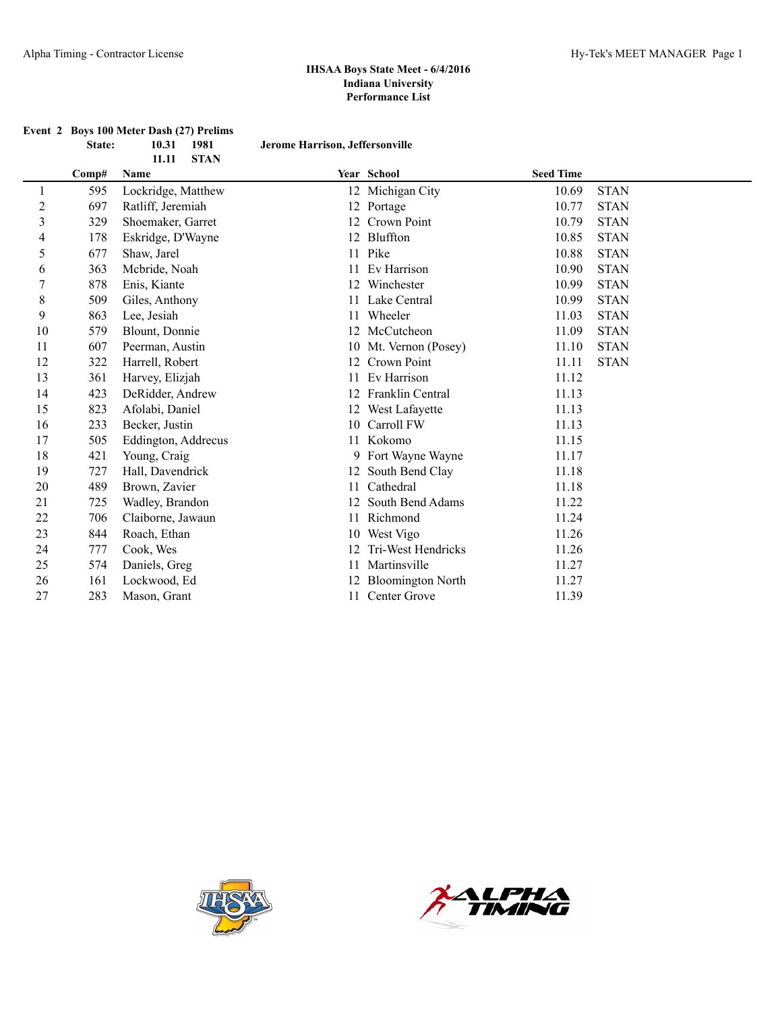|                  | State: | 10.31<br>1981                | Jerome Harrison, Jeffersonville |                      |                  |             |
|------------------|--------|------------------------------|---------------------------------|----------------------|------------------|-------------|
|                  | Comp#  | 11.11<br><b>STAN</b><br>Name |                                 | Year School          | <b>Seed Time</b> |             |
| 1                | 595    | Lockridge, Matthew           |                                 | 12 Michigan City     | 10.69            | <b>STAN</b> |
| $\overline{c}$   | 697    | Ratliff, Jeremiah            |                                 | 12 Portage           | 10.77            | <b>STAN</b> |
| 3                | 329    | Shoemaker, Garret            |                                 | 12 Crown Point       | 10.79            | <b>STAN</b> |
| 4                | 178    | Eskridge, D'Wayne            |                                 | 12 Bluffton          | 10.85            | <b>STAN</b> |
| 5                | 677    | Shaw, Jarel                  |                                 | 11 Pike              | 10.88            | <b>STAN</b> |
| 6                | 363    | Mcbride, Noah                |                                 | 11 Ev Harrison       | 10.90            | <b>STAN</b> |
| $\boldsymbol{7}$ | 878    | Enis, Kiante                 | 12                              | Winchester           | 10.99            | <b>STAN</b> |
| $\,$ 8 $\,$      | 509    | Giles, Anthony               | 11                              | Lake Central         | 10.99            | <b>STAN</b> |
| 9                | 863    | Lee, Jesiah                  | 11                              | Wheeler              | 11.03            | <b>STAN</b> |
| 10               | 579    | Blount, Donnie               |                                 | 12 McCutcheon        | 11.09            | <b>STAN</b> |
| 11               | 607    | Peerman, Austin              | 10                              | Mt. Vernon (Posey)   | 11.10            | <b>STAN</b> |
| 12               | 322    | Harrell, Robert              | 12                              | Crown Point          | 11.11            | <b>STAN</b> |
| 13               | 361    | Harvey, Elizjah              |                                 | 11 Ev Harrison       | 11.12            |             |
| 14               | 423    | DeRidder, Andrew             |                                 | 12 Franklin Central  | 11.13            |             |
| 15               | 823    | Afolabi, Daniel              | 12                              | West Lafayette       | 11.13            |             |
| 16               | 233    | Becker, Justin               |                                 | 10 Carroll FW        | 11.13            |             |
| 17               | 505    | Eddington, Addrecus          |                                 | 11 Kokomo            | 11.15            |             |
| 18               | 421    | Young, Craig                 |                                 | 9 Fort Wayne Wayne   | 11.17            |             |
| 19               | 727    | Hall, Davendrick             |                                 | 12 South Bend Clay   | 11.18            |             |
| 20               | 489    | Brown, Zavier                | 11                              | Cathedral            | 11.18            |             |
| 21               | 725    | Wadley, Brandon              |                                 | 12 South Bend Adams  | 11.22            |             |
| 22               | 706    | Claiborne, Jawaun            |                                 | 11 Richmond          | 11.24            |             |
| 23               | 844    | Roach, Ethan                 |                                 | 10 West Vigo         | 11.26            |             |
| 24               | 777    | Cook, Wes                    | 12                              | Tri-West Hendricks   | 11.26            |             |
| 25               | 574    | Daniels, Greg                | 11                              | Martinsville         | 11.27            |             |
| 26               | 161    | Lockwood, Ed                 |                                 | 12 Bloomington North | 11.27            |             |
| 27               | 283    | Mason, Grant                 |                                 | 11 Center Grove      | 11.39            |             |

## **Event 2 Boys 100 Meter Dash (27) Prelims**



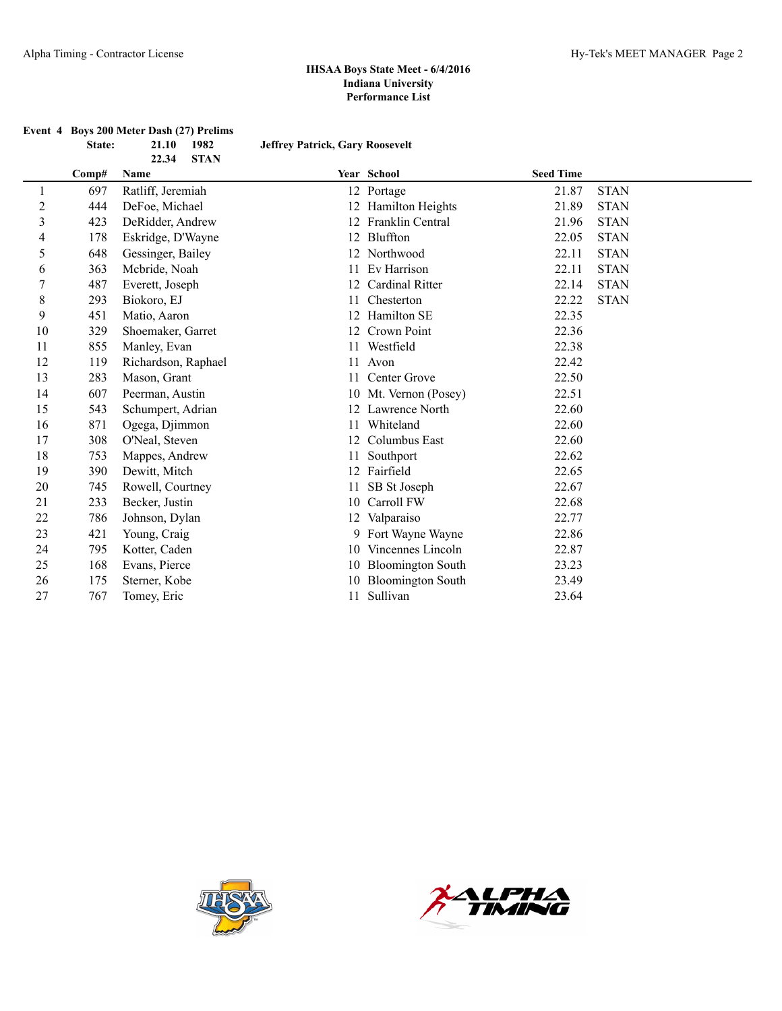|                         | State: | $0.010001$ Dayn (27) I commo<br>21.10<br>1982 | <b>Jeffrey Patrick, Gary Roosevelt</b> |                       |                  |             |
|-------------------------|--------|-----------------------------------------------|----------------------------------------|-----------------------|------------------|-------------|
|                         | Comp#  | <b>STAN</b><br>22.34<br>Name                  |                                        | Year School           | <b>Seed Time</b> |             |
| 1                       | 697    | Ratliff, Jeremiah                             |                                        | 12 Portage            | 21.87            | <b>STAN</b> |
| $\overline{c}$          | 444    | DeFoe, Michael                                |                                        | 12 Hamilton Heights   | 21.89            | <b>STAN</b> |
| $\overline{\mathbf{3}}$ | 423    | DeRidder, Andrew                              | 12                                     | Franklin Central      | 21.96            | <b>STAN</b> |
| 4                       | 178    | Eskridge, D'Wayne                             |                                        | 12 Bluffton           | 22.05            | <b>STAN</b> |
| 5                       | 648    | Gessinger, Bailey                             |                                        | 12 Northwood          | 22.11            | <b>STAN</b> |
| 6                       | 363    | Mcbride, Noah                                 | 11                                     | Ev Harrison           | 22.11            | <b>STAN</b> |
| $\overline{7}$          | 487    | Everett, Joseph                               |                                        | 12 Cardinal Ritter    | 22.14            | <b>STAN</b> |
| 8                       | 293    | Biokoro, EJ                                   | 11                                     | Chesterton            | 22.22            | <b>STAN</b> |
| 9                       | 451    | Matio, Aaron                                  | 12                                     | Hamilton SE           | 22.35            |             |
| 10                      | 329    | Shoemaker, Garret                             |                                        | 12 Crown Point        | 22.36            |             |
| 11                      | 855    | Manley, Evan                                  | 11                                     | Westfield             | 22.38            |             |
| 12                      | 119    | Richardson, Raphael                           | 11                                     | Avon                  | 22.42            |             |
| 13                      | 283    | Mason, Grant                                  |                                        | 11 Center Grove       | 22.50            |             |
| 14                      | 607    | Peerman, Austin                               |                                        | 10 Mt. Vernon (Posey) | 22.51            |             |
| 15                      | 543    | Schumpert, Adrian                             |                                        | 12 Lawrence North     | 22.60            |             |
| 16                      | 871    | Ogega, Djimmon                                | 11                                     | Whiteland             | 22.60            |             |
| 17                      | 308    | O'Neal, Steven                                |                                        | 12 Columbus East      | 22.60            |             |
| 18                      | 753    | Mappes, Andrew                                | 11                                     | Southport             | 22.62            |             |
| 19                      | 390    | Dewitt, Mitch                                 |                                        | 12 Fairfield          | 22.65            |             |
| 20                      | 745    | Rowell, Courtney                              | 11                                     | SB St Joseph          | 22.67            |             |
| 21                      | 233    | Becker, Justin                                |                                        | 10 Carroll FW         | 22.68            |             |
| 22                      | 786    | Johnson, Dylan                                |                                        | 12 Valparaiso         | 22.77            |             |
| 23                      | 421    | Young, Craig                                  |                                        | 9 Fort Wayne Wayne    | 22.86            |             |
| 24                      | 795    | Kotter, Caden                                 |                                        | 10 Vincennes Lincoln  | 22.87            |             |
| 25                      | 168    | Evans, Pierce                                 |                                        | 10 Bloomington South  | 23.23            |             |
| 26                      | 175    | Sterner, Kobe                                 |                                        | 10 Bloomington South  | 23.49            |             |
| 27                      | 767    | Tomey, Eric                                   |                                        | 11 Sullivan           | 23.64            |             |

# **Event 4 Boys 200 Meter Dash (27) Prelims**



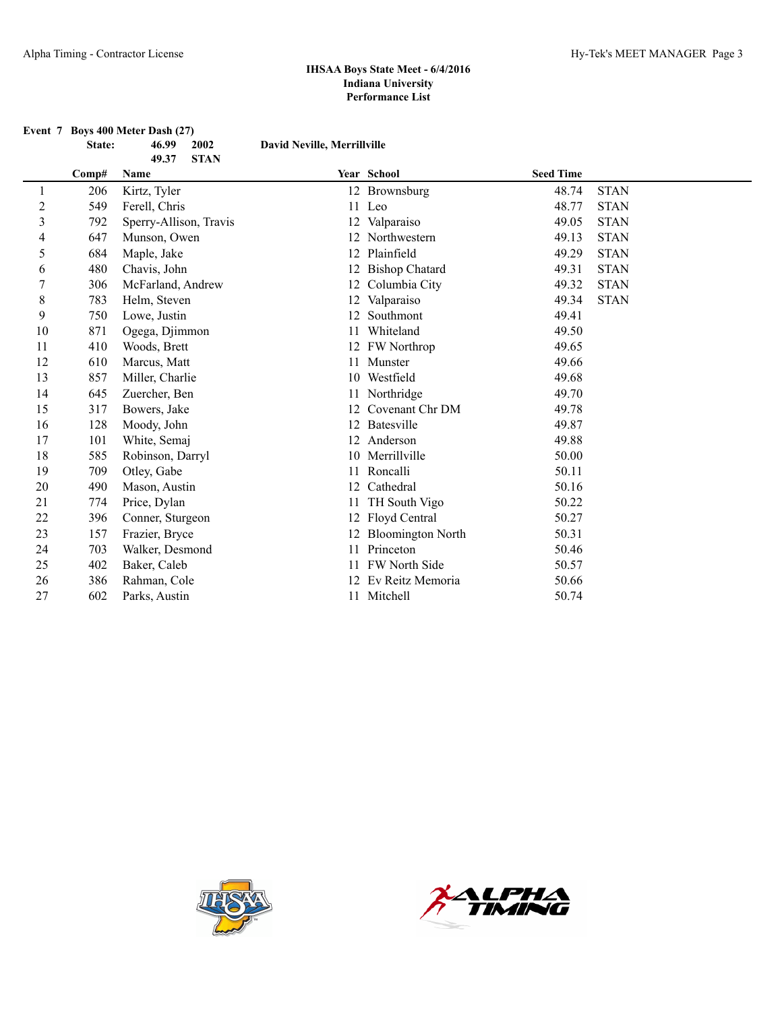|                | State: | Event 7 Boys 400 Meter Dash (27)<br>46.99<br>2002 | David Neville, Merrillville |                       |                  |             |
|----------------|--------|---------------------------------------------------|-----------------------------|-----------------------|------------------|-------------|
|                | Comp#  | 49.37<br><b>STAN</b><br>Name                      |                             | Year School           | <b>Seed Time</b> |             |
| 1              | 206    | Kirtz, Tyler                                      |                             | 12 Brownsburg         | 48.74            | <b>STAN</b> |
| $\overline{c}$ | 549    | Ferell, Chris                                     |                             | 11 Leo                | 48.77            | <b>STAN</b> |
| 3              | 792    | Sperry-Allison, Travis                            |                             | 12 Valparaiso         | 49.05            | <b>STAN</b> |
| 4              | 647    | Munson, Owen                                      | 12                          | Northwestern          | 49.13            | <b>STAN</b> |
| 5              | 684    | Maple, Jake                                       |                             | 12 Plainfield         | 49.29            | <b>STAN</b> |
| 6              | 480    | Chavis, John                                      | 12                          | <b>Bishop Chatard</b> | 49.31            | <b>STAN</b> |
| 7              | 306    | McFarland, Andrew                                 |                             | 12 Columbia City      | 49.32            | <b>STAN</b> |
| 8              | 783    | Helm, Steven                                      |                             | 12 Valparaiso         | 49.34            | <b>STAN</b> |
| 9              | 750    | Lowe, Justin                                      | 12                          | Southmont             | 49.41            |             |
| 10             | 871    | Ogega, Djimmon                                    | 11                          | Whiteland             | 49.50            |             |
| 11             | 410    | Woods, Brett                                      |                             | 12 FW Northrop        | 49.65            |             |
| 12             | 610    | Marcus, Matt                                      |                             | 11 Munster            | 49.66            |             |
| 13             | 857    | Miller, Charlie                                   |                             | 10 Westfield          | 49.68            |             |
| 14             | 645    | Zuercher, Ben                                     |                             | 11 Northridge         | 49.70            |             |
| 15             | 317    | Bowers, Jake                                      | 12                          | Covenant Chr DM       | 49.78            |             |
| 16             | 128    | Moody, John                                       |                             | 12 Batesville         | 49.87            |             |
| 17             | 101    | White, Semaj                                      |                             | 12 Anderson           | 49.88            |             |
| 18             | 585    | Robinson, Darryl                                  | 10                          | Merrillville          | 50.00            |             |
| 19             | 709    | Otley, Gabe                                       | 11                          | Roncalli              | 50.11            |             |
| 20             | 490    | Mason, Austin                                     | 12                          | Cathedral             | 50.16            |             |
| 21             | 774    | Price, Dylan                                      | 11                          | TH South Vigo         | 50.22            |             |
| 22             | 396    | Conner, Sturgeon                                  |                             | 12 Floyd Central      | 50.27            |             |
| 23             | 157    | Frazier, Bryce                                    |                             | 12 Bloomington North  | 50.31            |             |
| 24             | 703    | Walker, Desmond                                   | 11                          | Princeton             | 50.46            |             |
| 25             | 402    | Baker, Caleb                                      |                             | 11 FW North Side      | 50.57            |             |
| 26             | 386    | Rahman, Cole                                      |                             | 12 Ev Reitz Memoria   | 50.66            |             |
| 27             | 602    | Parks, Austin                                     |                             | 11 Mitchell           | 50.74            |             |



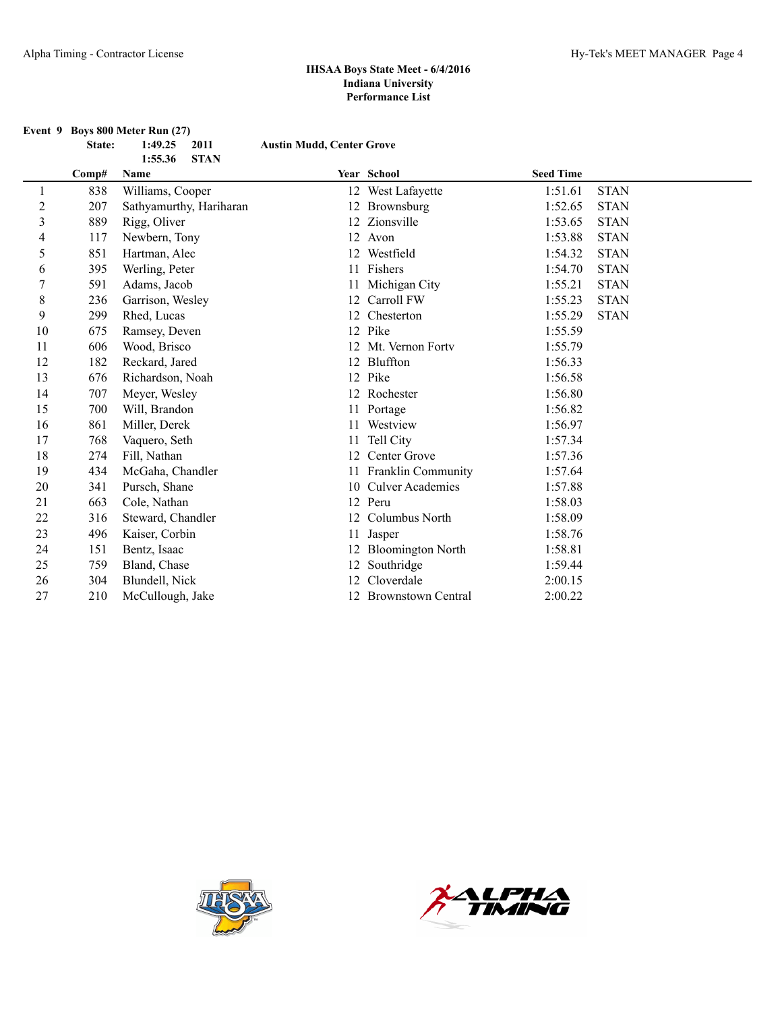**Event 9 Boys 800 Meter Run (27)**

| $1:49.25$ 2011 | <b>State:</b> |  |  | <b>Austin Mudd, Center Grove</b> |  |
|----------------|---------------|--|--|----------------------------------|--|
|----------------|---------------|--|--|----------------------------------|--|

|                         |       | 1:55.36<br><b>STAN</b>  |    |                           |                  |             |
|-------------------------|-------|-------------------------|----|---------------------------|------------------|-------------|
|                         | Comp# | Name                    |    | Year School               | <b>Seed Time</b> |             |
| 1                       | 838   | Williams, Cooper        |    | 12 West Lafayette         | 1:51.61          | <b>STAN</b> |
| $\overline{c}$          | 207   | Sathyamurthy, Hariharan | 12 | Brownsburg                | 1:52.65          | <b>STAN</b> |
| $\overline{\mathbf{3}}$ | 889   | Rigg, Oliver            |    | 12 Zionsville             | 1:53.65          | <b>STAN</b> |
| 4                       | 117   | Newbern, Tony           |    | 12 Avon                   | 1:53.88          | <b>STAN</b> |
| 5                       | 851   | Hartman, Alec           | 12 | Westfield                 | 1:54.32          | <b>STAN</b> |
| 6                       | 395   | Werling, Peter          |    | 11 Fishers                | 1:54.70          | <b>STAN</b> |
| 7                       | 591   | Adams, Jacob            |    | Michigan City             | 1:55.21          | <b>STAN</b> |
| $\,8\,$                 | 236   | Garrison, Wesley        | 12 | Carroll FW                | 1:55.23          | <b>STAN</b> |
| 9                       | 299   | Rhed, Lucas             | 12 | Chesterton                | 1:55.29          | <b>STAN</b> |
| 10                      | 675   | Ramsey, Deven           | 12 | Pike                      | 1:55.59          |             |
| 11                      | 606   | Wood, Brisco            |    | Mt. Vernon Forty          | 1:55.79          |             |
| 12                      | 182   | Reckard, Jared          | 12 | Bluffton                  | 1:56.33          |             |
| 13                      | 676   | Richardson, Noah        | 12 | Pike                      | 1:56.58          |             |
| 14                      | 707   | Meyer, Wesley           |    | 12 Rochester              | 1:56.80          |             |
| 15                      | 700   | Will, Brandon           |    | 11 Portage                | 1:56.82          |             |
| 16                      | 861   | Miller, Derek           |    | Westview                  | 1:56.97          |             |
| 17                      | 768   | Vaquero, Seth           | 11 | Tell City                 | 1:57.34          |             |
| 18                      | 274   | Fill, Nathan            | 12 | Center Grove              | 1:57.36          |             |
| 19                      | 434   | McGaha, Chandler        | 11 | <b>Franklin Community</b> | 1:57.64          |             |
| 20                      | 341   | Pursch, Shane           | 10 | <b>Culver Academies</b>   | 1:57.88          |             |
| 21                      | 663   | Cole, Nathan            | 12 | Peru                      | 1:58.03          |             |
| 22                      | 316   | Steward, Chandler       | 12 | Columbus North            | 1:58.09          |             |
| 23                      | 496   | Kaiser, Corbin          |    | Jasper                    | 1:58.76          |             |
| 24                      | 151   | Bentz, Isaac            | 12 | <b>Bloomington North</b>  | 1:58.81          |             |
| 25                      | 759   | Bland, Chase            |    | Southridge                | 1:59.44          |             |
| 26                      | 304   | Blundell, Nick          | 12 | Cloverdale                | 2:00.15          |             |
| 27                      | 210   | McCullough, Jake        |    | 12 Brownstown Central     | 2:00.22          |             |



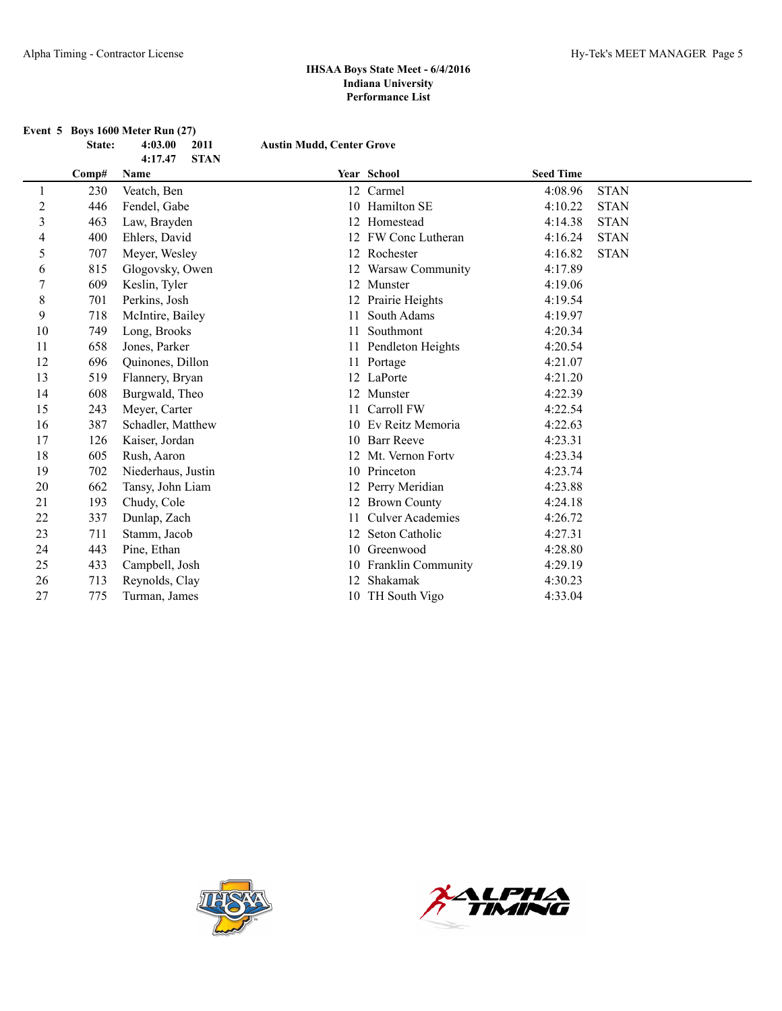|                | State: | <b>Event 5 Boys 1600 Meter Run (27)</b><br>4:03.00<br>2011 | <b>Austin Mudd, Center Grove</b> |                       |                  |             |
|----------------|--------|------------------------------------------------------------|----------------------------------|-----------------------|------------------|-------------|
|                | Comp#  | 4:17.47<br><b>STAN</b><br>Name                             |                                  | Year School           | <b>Seed Time</b> |             |
| 1              | 230    | Veatch, Ben                                                |                                  | 12 Carmel             | 4:08.96          | <b>STAN</b> |
| $\overline{2}$ | 446    | Fendel, Gabe                                               |                                  | 10 Hamilton SE        | 4:10.22          | <b>STAN</b> |
| 3              | 463    | Law, Brayden                                               |                                  | 12 Homestead          | 4:14.38          | <b>STAN</b> |
| 4              | 400    | Ehlers, David                                              |                                  | 12 FW Conc Lutheran   | 4:16.24          | <b>STAN</b> |
| 5              | 707    | Meyer, Wesley                                              |                                  | 12 Rochester          | 4:16.82          | <b>STAN</b> |
| 6              | 815    | Glogovsky, Owen                                            |                                  | 12 Warsaw Community   | 4:17.89          |             |
| 7              | 609    | Keslin, Tyler                                              |                                  | 12 Munster            | 4:19.06          |             |
| $\,$ 8 $\,$    | 701    | Perkins, Josh                                              |                                  | 12 Prairie Heights    | 4:19.54          |             |
| 9              | 718    | McIntire, Bailey                                           | 11                               | South Adams           | 4:19.97          |             |
| 10             | 749    | Long, Brooks                                               | 11                               | Southmont             | 4:20.34          |             |
| 11             | 658    | Jones, Parker                                              |                                  | 11 Pendleton Heights  | 4:20.54          |             |
| 12             | 696    | Quinones, Dillon                                           |                                  | 11 Portage            | 4:21.07          |             |
| 13             | 519    | Flannery, Bryan                                            |                                  | 12 LaPorte            | 4:21.20          |             |
| 14             | 608    | Burgwald, Theo                                             |                                  | 12 Munster            | 4:22.39          |             |
| 15             | 243    | Meyer, Carter                                              | 11                               | Carroll FW            | 4:22.54          |             |
| 16             | 387    | Schadler, Matthew                                          |                                  | 10 Ev Reitz Memoria   | 4:22.63          |             |
| 17             | 126    | Kaiser, Jordan                                             |                                  | 10 Barr Reeve         | 4:23.31          |             |
| 18             | 605    | Rush, Aaron                                                |                                  | 12 Mt. Vernon Forty   | 4:23.34          |             |
| 19             | 702    | Niederhaus, Justin                                         |                                  | 10 Princeton          | 4:23.74          |             |
| 20             | 662    | Tansy, John Liam                                           |                                  | 12 Perry Meridian     | 4:23.88          |             |
| 21             | 193    | Chudy, Cole                                                |                                  | 12 Brown County       | 4:24.18          |             |
| 22             | 337    | Dunlap, Zach                                               | 11                               | Culver Academies      | 4:26.72          |             |
| 23             | 711    | Stamm, Jacob                                               | 12                               | Seton Catholic        | 4:27.31          |             |
| 24             | 443    | Pine, Ethan                                                | 10                               | Greenwood             | 4:28.80          |             |
| 25             | 433    | Campbell, Josh                                             |                                  | 10 Franklin Community | 4:29.19          |             |
| 26             | 713    | Reynolds, Clay                                             |                                  | 12 Shakamak           | 4:30.23          |             |
| 27             | 775    | Turman, James                                              |                                  | 10 TH South Vigo      | 4:33.04          |             |



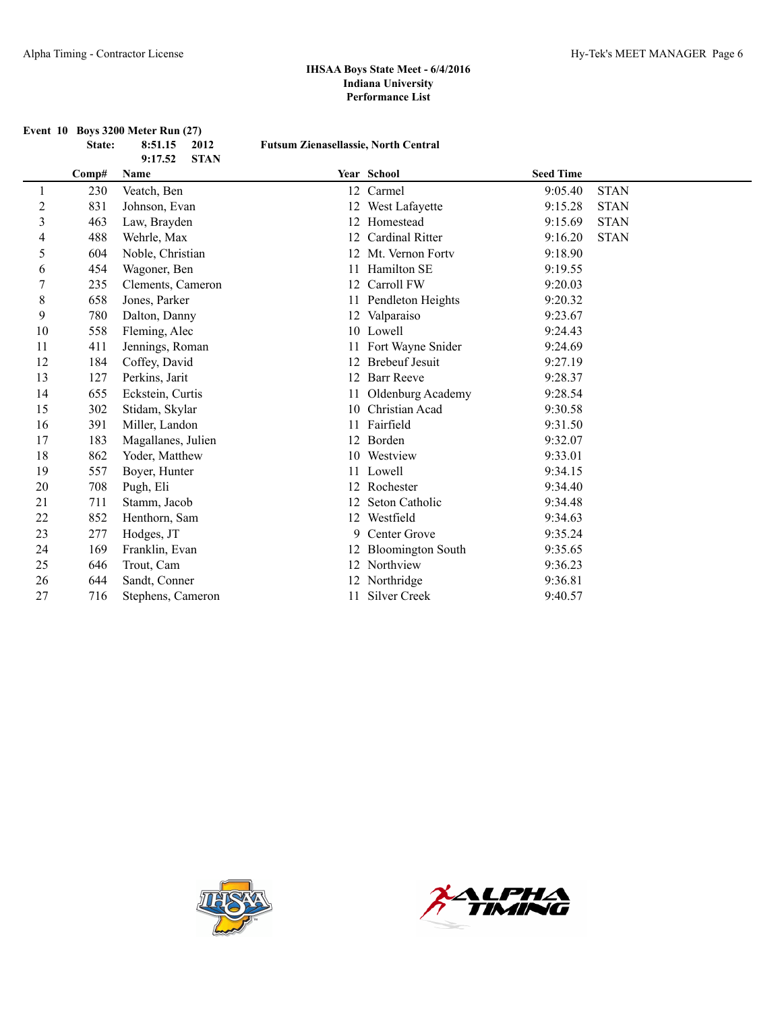|                | State: | Event 10 Boys 3200 Meter Run (27)<br>8:51.15<br>2012 | <b>Futsum Zienasellassie, North Central</b> |                      |                  |             |
|----------------|--------|------------------------------------------------------|---------------------------------------------|----------------------|------------------|-------------|
|                |        | <b>STAN</b><br>9:17.52                               |                                             |                      |                  |             |
|                | Comp#  | Name                                                 |                                             | Year School          | <b>Seed Time</b> |             |
| 1              | 230    | Veatch, Ben                                          |                                             | 12 Carmel            | 9:05.40          | <b>STAN</b> |
| $\overline{c}$ | 831    | Johnson, Evan                                        |                                             | 12 West Lafayette    | 9:15.28          | <b>STAN</b> |
| 3              | 463    | Law, Brayden                                         |                                             | 12 Homestead         | 9:15.69          | <b>STAN</b> |
| 4              | 488    | Wehrle, Max                                          | 12                                          | Cardinal Ritter      | 9:16.20          | <b>STAN</b> |
| 5              | 604    | Noble, Christian                                     |                                             | 12 Mt. Vernon Fortv  | 9:18.90          |             |
| 6              | 454    | Wagoner, Ben                                         | 11                                          | Hamilton SE          | 9:19.55          |             |
| 7              | 235    | Clements, Cameron                                    |                                             | 12 Carroll FW        | 9:20.03          |             |
| 8              | 658    | Jones, Parker                                        |                                             | 11 Pendleton Heights | 9:20.32          |             |
| 9              | 780    | Dalton, Danny                                        |                                             | 12 Valparaiso        | 9:23.67          |             |
| 10             | 558    | Fleming, Alec                                        |                                             | 10 Lowell            | 9:24.43          |             |
| 11             | 411    | Jennings, Roman                                      |                                             | 11 Fort Wayne Snider | 9:24.69          |             |
| 12             | 184    | Coffey, David                                        |                                             | 12 Brebeuf Jesuit    | 9:27.19          |             |
| 13             | 127    | Perkins, Jarit                                       |                                             | 12 Barr Reeve        | 9:28.37          |             |
| 14             | 655    | Eckstein, Curtis                                     |                                             | Oldenburg Academy    | 9:28.54          |             |
| 15             | 302    | Stidam, Skylar                                       | 10                                          | Christian Acad       | 9:30.58          |             |
| 16             | 391    | Miller, Landon                                       |                                             | 11 Fairfield         | 9:31.50          |             |
| 17             | 183    | Magallanes, Julien                                   |                                             | 12 Borden            | 9:32.07          |             |
| 18             | 862    | Yoder, Matthew                                       |                                             | 10 Westview          | 9:33.01          |             |
| 19             | 557    | Boyer, Hunter                                        |                                             | 11 Lowell            | 9:34.15          |             |
| 20             | 708    | Pugh, Eli                                            |                                             | 12 Rochester         | 9:34.40          |             |
| 21             | 711    | Stamm, Jacob                                         |                                             | 12 Seton Catholic    | 9:34.48          |             |
| 22             | 852    | Henthorn, Sam                                        |                                             | 12 Westfield         | 9:34.63          |             |
| 23             | 277    | Hodges, JT                                           | 9                                           | Center Grove         | 9:35.24          |             |
| 24             | 169    | Franklin, Evan                                       |                                             | 12 Bloomington South | 9:35.65          |             |
| 25             | 646    | Trout, Cam                                           |                                             | 12 Northview         | 9:36.23          |             |
| 26             | 644    | Sandt, Conner                                        |                                             | 12 Northridge        | 9:36.81          |             |
| 27             | 716    | Stephens, Cameron                                    |                                             | 11 Silver Creek      | 9:40.57          |             |



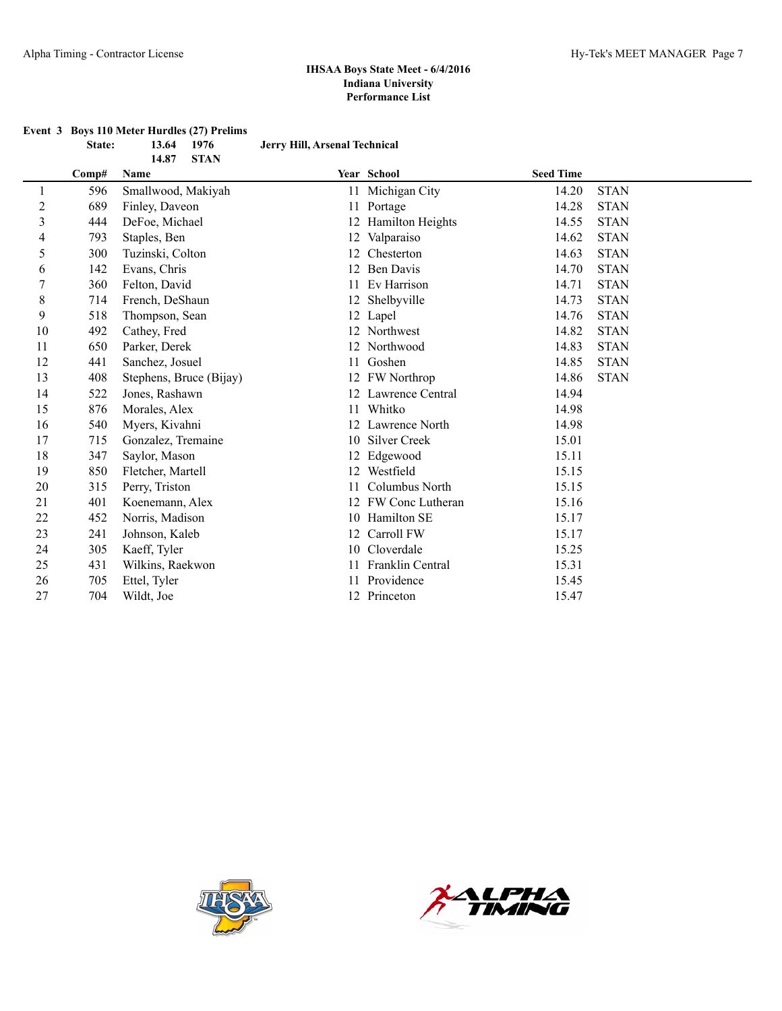**Event 3 Boys 110 Meter Hurdles (27) Prelims**

|  | State: | 13.64 1976 |  | Jerry Hill, Arsenal Technical |
|--|--------|------------|--|-------------------------------|
|--|--------|------------|--|-------------------------------|

|    |       | <b>STAN</b><br>14.87    |    |                     |                  |             |
|----|-------|-------------------------|----|---------------------|------------------|-------------|
|    | Comp# | Name                    |    | Year School         | <b>Seed Time</b> |             |
| 1  | 596   | Smallwood, Makiyah      |    | 11 Michigan City    | 14.20            | <b>STAN</b> |
| 2  | 689   | Finley, Daveon          |    | 11 Portage          | 14.28            | <b>STAN</b> |
| 3  | 444   | DeFoe, Michael          |    | 12 Hamilton Heights | 14.55            | <b>STAN</b> |
| 4  | 793   | Staples, Ben            |    | Valparaiso          | 14.62            | <b>STAN</b> |
| 5  | 300   | Tuzinski, Colton        | 12 | Chesterton          | 14.63            | <b>STAN</b> |
| 6  | 142   | Evans, Chris            |    | 12 Ben Davis        | 14.70            | <b>STAN</b> |
| 7  | 360   | Felton, David           |    | Ev Harrison         | 14.71            | <b>STAN</b> |
| 8  | 714   | French, DeShaun         | 12 | Shelbyville         | 14.73            | <b>STAN</b> |
| 9  | 518   | Thompson, Sean          |    | 12 Lapel            | 14.76            | <b>STAN</b> |
| 10 | 492   | Cathey, Fred            |    | 12 Northwest        | 14.82            | <b>STAN</b> |
| 11 | 650   | Parker, Derek           |    | Northwood           | 14.83            | <b>STAN</b> |
| 12 | 441   | Sanchez, Josuel         | 11 | Goshen              | 14.85            | <b>STAN</b> |
| 13 | 408   | Stephens, Bruce (Bijay) |    | 12 FW Northrop      | 14.86            | <b>STAN</b> |
| 14 | 522   | Jones, Rashawn          |    | 12 Lawrence Central | 14.94            |             |
| 15 | 876   | Morales, Alex           | 11 | Whitko              | 14.98            |             |
| 16 | 540   | Myers, Kivahni          | 12 | Lawrence North      | 14.98            |             |
| 17 | 715   | Gonzalez, Tremaine      | 10 | Silver Creek        | 15.01            |             |
| 18 | 347   | Saylor, Mason           |    | Edgewood            | 15.11            |             |
| 19 | 850   | Fletcher, Martell       | 12 | Westfield           | 15.15            |             |
| 20 | 315   | Perry, Triston          |    | Columbus North      | 15.15            |             |
| 21 | 401   | Koenemann, Alex         |    | FW Conc Lutheran    | 15.16            |             |
| 22 | 452   | Norris, Madison         | 10 | Hamilton SE         | 15.17            |             |
| 23 | 241   | Johnson, Kaleb          | 12 | Carroll FW          | 15.17            |             |
| 24 | 305   | Kaeff, Tyler            | 10 | Cloverdale          | 15.25            |             |
| 25 | 431   | Wilkins, Raekwon        |    | Franklin Central    | 15.31            |             |
| 26 | 705   | Ettel, Tyler            |    | Providence          | 15.45            |             |
| 27 | 704   | Wildt, Joe              |    | 12 Princeton        | 15.47            |             |



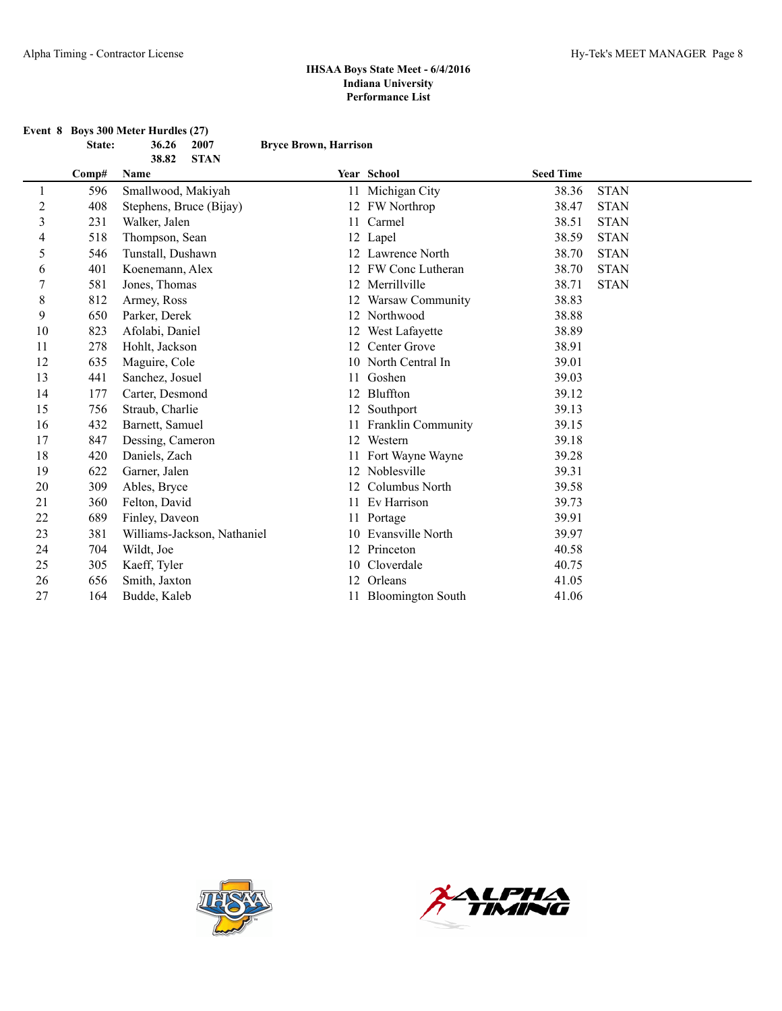|                | State: | 36.26<br>2007               | <b>Bryce Brown, Harrison</b> |                      |                  |             |
|----------------|--------|-----------------------------|------------------------------|----------------------|------------------|-------------|
|                |        | 38.82<br><b>STAN</b>        |                              | Year School          | <b>Seed Time</b> |             |
|                | Comp#  | Name                        |                              |                      |                  |             |
| 1              | 596    | Smallwood, Makiyah          |                              | 11 Michigan City     | 38.36            | <b>STAN</b> |
| $\overline{c}$ | 408    | Stephens, Bruce (Bijay)     |                              | 12 FW Northrop       | 38.47            | <b>STAN</b> |
| $\mathfrak{Z}$ | 231    | Walker, Jalen               | 11                           | Carmel               | 38.51            | <b>STAN</b> |
| 4              | 518    | Thompson, Sean              |                              | 12 Lapel             | 38.59            | <b>STAN</b> |
| 5              | 546    | Tunstall, Dushawn           |                              | 12 Lawrence North    | 38.70            | <b>STAN</b> |
| 6              | 401    | Koenemann, Alex             | 12                           | FW Conc Lutheran     | 38.70            | <b>STAN</b> |
| 7              | 581    | Jones, Thomas               | 12                           | Merrillville         | 38.71            | <b>STAN</b> |
| 8              | 812    | Armey, Ross                 |                              | 12 Warsaw Community  | 38.83            |             |
| 9              | 650    | Parker, Derek               |                              | 12 Northwood         | 38.88            |             |
| 10             | 823    | Afolabi, Daniel             | 12                           | West Lafayette       | 38.89            |             |
| 11             | 278    | Hohlt, Jackson              | 12                           | Center Grove         | 38.91            |             |
| 12             | 635    | Maguire, Cole               |                              | 10 North Central In  | 39.01            |             |
| 13             | 441    | Sanchez, Josuel             | 11                           | Goshen               | 39.03            |             |
| 14             | 177    | Carter, Desmond             | 12                           | Bluffton             | 39.12            |             |
| 15             | 756    | Straub, Charlie             |                              | 12 Southport         | 39.13            |             |
| 16             | 432    | Barnett, Samuel             | 11                           | Franklin Community   | 39.15            |             |
| 17             | 847    | Dessing, Cameron            |                              | 12 Western           | 39.18            |             |
| 18             | 420    | Daniels, Zach               |                              | 11 Fort Wayne Wayne  | 39.28            |             |
| 19             | 622    | Garner, Jalen               |                              | 12 Noblesville       | 39.31            |             |
| 20             | 309    | Ables, Bryce                |                              | 12 Columbus North    | 39.58            |             |
| 21             | 360    | Felton, David               |                              | 11 Ev Harrison       | 39.73            |             |
| 22             | 689    | Finley, Daveon              |                              | 11 Portage           | 39.91            |             |
| 23             | 381    | Williams-Jackson, Nathaniel |                              | 10 Evansville North  | 39.97            |             |
| 24             | 704    | Wildt, Joe                  |                              | 12 Princeton         | 40.58            |             |
| 25             | 305    | Kaeff, Tyler                |                              | 10 Cloverdale        | 40.75            |             |
| 26             | 656    | Smith, Jaxton               |                              | 12 Orleans           | 41.05            |             |
| 27             | 164    | Budde, Kaleb                |                              | 11 Bloomington South | 41.06            |             |

## **Event 8 Boys 300 Meter Hurdles (27) State: 36.26 2007 Bryce Brown, Harrison**



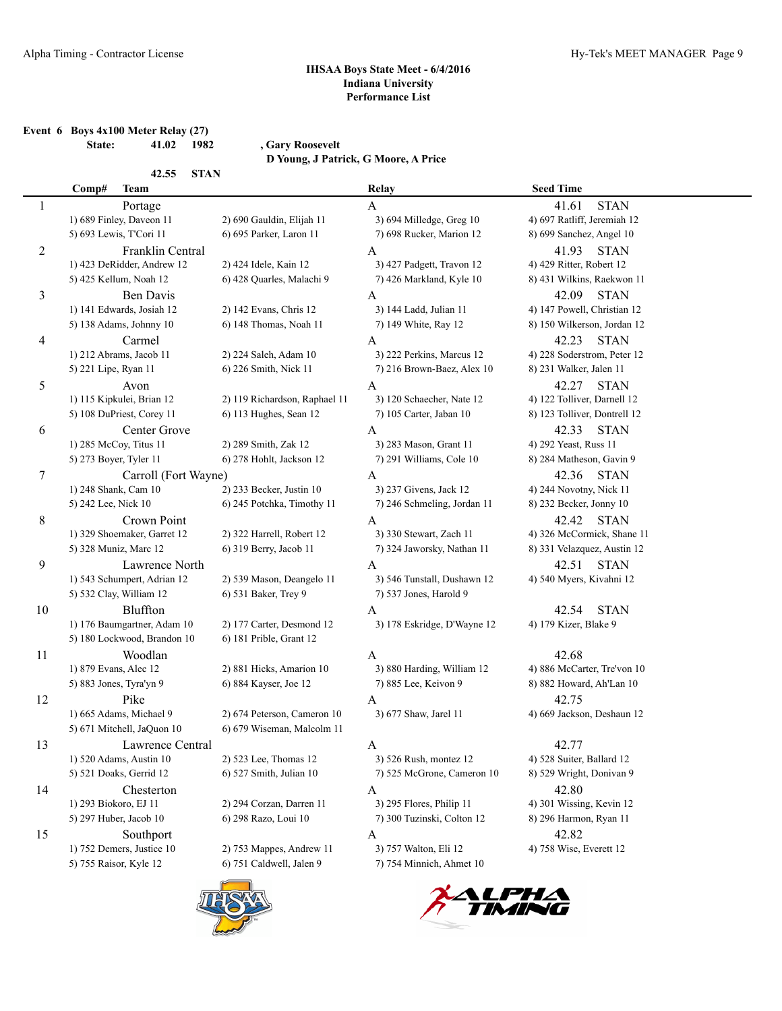**Event 6 Boys 4x100 Meter Relay (27)**

**State: 41.02 1982 , Gary Roosevelt**

| N<br>AA |
|---------|
| ۰,      |

| D Young, J Patrick, G Moore, A Price |  |  |  |  |  |  |  |
|--------------------------------------|--|--|--|--|--|--|--|
|--------------------------------------|--|--|--|--|--|--|--|

|                | <b>Team</b><br>Comp#        |                                                      | <b>Relay</b>                 | <b>Seed Time</b>                              |
|----------------|-----------------------------|------------------------------------------------------|------------------------------|-----------------------------------------------|
| -1             | Portage                     |                                                      | A                            | <b>STAN</b><br>41.61                          |
|                | 1) 689 Finley, Daveon 11    | 2) 690 Gauldin, Elijah 11                            | 3) 694 Milledge, Greg 10     | 4) 697 Ratliff, Jeremiah 12                   |
|                | 5) 693 Lewis, T'Cori 11     | 6) 695 Parker, Laron 11                              | 7) 698 Rucker, Marion 12     | 8) 699 Sanchez, Angel 10                      |
| $\overline{c}$ | Franklin Central            |                                                      | $\mathbf{A}$                 | 41.93<br><b>STAN</b>                          |
|                | 1) 423 DeRidder, Andrew 12  | 2) 424 Idele, Kain 12                                | 3) 427 Padgett, Travon 12    | 4) 429 Ritter, Robert 12                      |
|                | 5) 425 Kellum, Noah 12      | 6) 428 Quarles, Malachi 9                            | 7) 426 Markland, Kyle 10     | 8) 431 Wilkins, Raekwon 11                    |
| $\mathfrak{Z}$ | Ben Davis                   |                                                      | A                            | 42.09<br><b>STAN</b>                          |
|                | 1) 141 Edwards, Josiah 12   | 2) 142 Evans, Chris 12                               | 3) 144 Ladd, Julian 11       | 4) 147 Powell, Christian 12                   |
|                | 5) 138 Adams, Johnny 10     | 6) 148 Thomas, Noah 11                               | 7) 149 White, Ray 12         | 8) 150 Wilkerson, Jordan 12                   |
| 4              | Carmel                      |                                                      | A                            | 42.23<br><b>STAN</b>                          |
|                | 1) 212 Abrams, Jacob 11     | 2) 224 Saleh, Adam 10                                | 3) 222 Perkins, Marcus 12    | 4) 228 Soderstrom, Peter 12                   |
|                | 5) 221 Lipe, Ryan 11        | 6) 226 Smith, Nick 11                                | 7) 216 Brown-Baez, Alex 10   | 8) 231 Walker, Jalen 11                       |
| 5              | Avon                        |                                                      | A                            | <b>STAN</b><br>42.27                          |
|                | 1) 115 Kipkulei, Brian 12   | 2) 119 Richardson, Raphael 11                        | 3) 120 Schaecher, Nate 12    | 4) 122 Tolliver, Darnell 12                   |
|                | 5) 108 DuPriest, Corey 11   | 6) 113 Hughes, Sean 12                               | 7) 105 Carter, Jaban 10      | 8) 123 Tolliver, Dontrell 12                  |
| 6              | Center Grove                |                                                      | A                            | <b>STAN</b><br>42.33                          |
|                | 1) 285 McCoy, Titus 11      | 2) 289 Smith, Zak 12                                 | 3) 283 Mason, Grant 11       | 4) 292 Yeast, Russ 11                         |
|                | 5) 273 Boyer, Tyler 11      | 6) 278 Hohlt, Jackson 12                             | 7) 291 Williams, Cole 10     | 8) 284 Matheson, Gavin 9                      |
| $\tau$         | Carroll (Fort Wayne)        |                                                      | A                            | 42.36<br><b>STAN</b>                          |
|                | 1) 248 Shank, Cam 10        | 2) 233 Becker, Justin 10                             | 3) 237 Givens, Jack 12       | 4) 244 Novotny, Nick 11                       |
|                | 5) 242 Lee, Nick 10         | 6) 245 Potchka, Timothy 11                           | 7) 246 Schmeling, Jordan 11  | 8) 232 Becker, Jonny 10                       |
| $\,$ $\,$      | Crown Point                 |                                                      |                              | 42.42<br><b>STAN</b>                          |
|                | 1) 329 Shoemaker, Garret 12 | 2) 322 Harrell, Robert 12                            | A<br>3) 330 Stewart, Zach 11 | 4) 326 McCormick, Shane 11                    |
|                | 5) 328 Muniz, Marc 12       | 6) 319 Berry, Jacob 11                               | 7) 324 Jaworsky, Nathan 11   | 8) 331 Velazquez, Austin 12                   |
| 9              | Lawrence North              |                                                      | A                            | 42.51<br><b>STAN</b>                          |
|                | 1) 543 Schumpert, Adrian 12 | 2) 539 Mason, Deangelo 11                            | 3) 546 Tunstall, Dushawn 12  | 4) 540 Myers, Kivahni 12                      |
|                | 5) 532 Clay, William 12     | 6) 531 Baker, Trey 9                                 | 7) 537 Jones, Harold 9       |                                               |
|                |                             |                                                      |                              |                                               |
| 10             | Bluffton                    |                                                      | A                            | 42.54<br><b>STAN</b><br>4) 179 Kizer, Blake 9 |
|                | 1) 176 Baumgartner, Adam 10 | 2) 177 Carter, Desmond 12<br>6) 181 Prible, Grant 12 | 3) 178 Eskridge, D'Wayne 12  |                                               |
|                | 5) 180 Lockwood, Brandon 10 |                                                      |                              |                                               |
| 11             | Woodlan                     |                                                      | A                            | 42.68                                         |
|                | 1) 879 Evans, Alec 12       | 2) 881 Hicks, Amarion 10                             | 3) 880 Harding, William 12   | 4) 886 McCarter, Tre'von 10                   |
|                | 5) 883 Jones, Tyra'yn 9     | 6) 884 Kayser, Joe 12                                | 7) 885 Lee, Keivon 9         | 8) 882 Howard, Ah'Lan 10                      |
| 12             | Pike                        |                                                      | A                            | 42.75                                         |
|                | 1) 665 Adams, Michael 9     | 2) 674 Peterson, Cameron 10                          | 3) 677 Shaw, Jarel 11        | 4) 669 Jackson, Deshaun 12                    |
|                | 5) 671 Mitchell, JaQuon 10  | 6) 679 Wiseman, Malcolm 11                           |                              |                                               |
| 13             | Lawrence Central            |                                                      | A                            | 42.77                                         |
|                | 1) 520 Adams, Austin 10     | 2) 523 Lee, Thomas 12                                | 3) 526 Rush, montez 12       | 4) 528 Suiter, Ballard 12                     |
|                | 5) 521 Doaks, Gerrid 12     | 6) 527 Smith, Julian 10                              | 7) 525 McGrone, Cameron 10   | 8) 529 Wright, Donivan 9                      |
| 14             | Chesterton                  |                                                      | A                            | 42.80                                         |
|                | 1) 293 Biokoro, EJ 11       | 2) 294 Corzan, Darren 11                             | 3) 295 Flores, Philip 11     | 4) 301 Wissing, Kevin 12                      |
|                | 5) 297 Huber, Jacob 10      | 6) 298 Razo, Loui 10                                 | 7) 300 Tuzinski, Colton 12   | 8) 296 Harmon, Ryan 11                        |
| 15             | Southport                   |                                                      | A                            | 42.82                                         |
|                | 1) 752 Demers, Justice 10   | 2) 753 Mappes, Andrew 11                             | 3) 757 Walton, Eli 12        | 4) 758 Wise, Everett 12                       |
|                | 5) 755 Raisor, Kyle 12      | 6) 751 Caldwell, Jalen 9                             | 7) 754 Minnich, Ahmet 10     |                                               |
|                |                             |                                                      |                              |                                               |



**\LPHA**<br>TIMING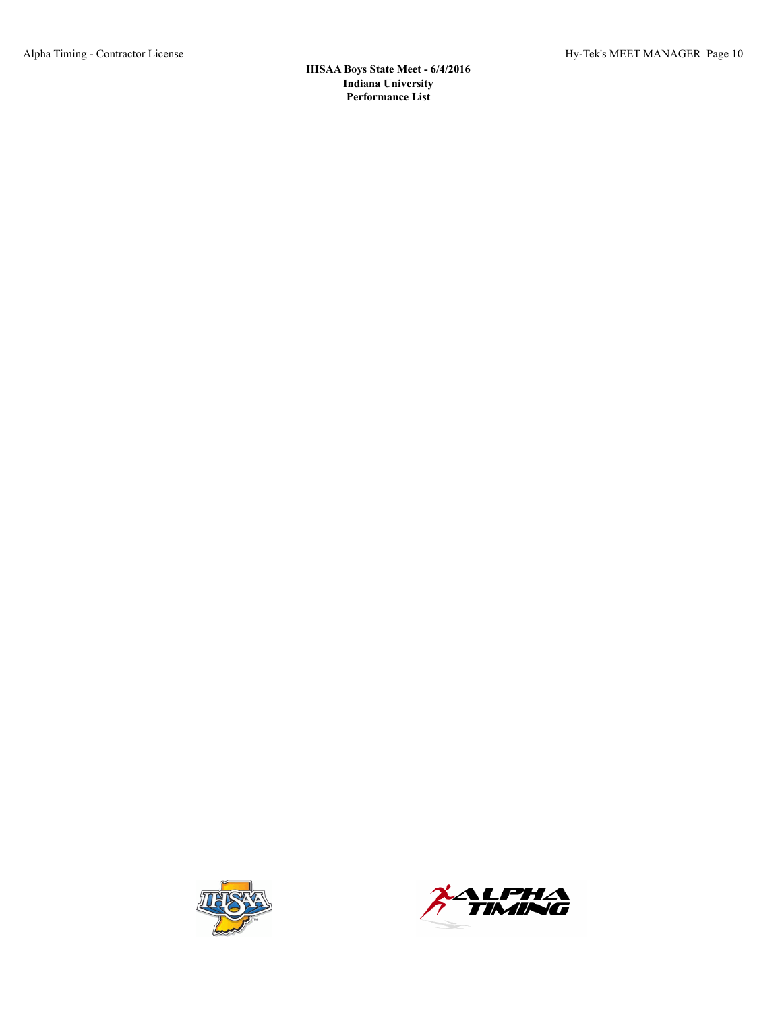

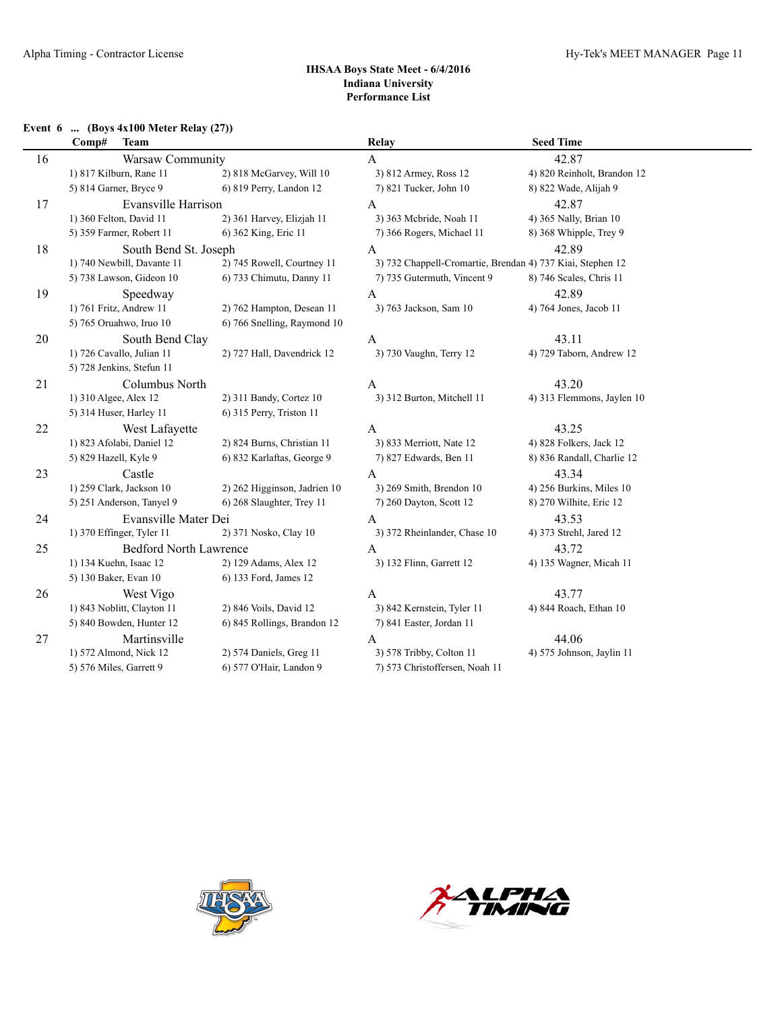#### **Event 6 ... (Boys 4x100 Meter Relay (27))**

|    | Comp#<br>Team                 |                              | Relay                                                      | <b>Seed Time</b>            |
|----|-------------------------------|------------------------------|------------------------------------------------------------|-----------------------------|
| 16 | Warsaw Community              |                              | A                                                          | 42.87                       |
|    | 1) 817 Kilburn, Rane 11       | 2) 818 McGarvey, Will 10     | 3) 812 Armey, Ross 12                                      | 4) 820 Reinholt, Brandon 12 |
|    | 5) 814 Garner, Bryce 9        | 6) 819 Perry, Landon 12      | 7) 821 Tucker, John 10                                     | 8) 822 Wade, Alijah 9       |
| 17 | Evansville Harrison           |                              | A                                                          | 42.87                       |
|    | 1) 360 Felton, David 11       | 2) 361 Harvey, Elizjah 11    | 3) 363 Mcbride, Noah 11                                    | 4) 365 Nally, Brian 10      |
|    | 5) 359 Farmer, Robert 11      | 6) 362 King, Eric 11         | 7) 366 Rogers, Michael 11                                  | 8) 368 Whipple, Trey 9      |
| 18 | South Bend St. Joseph         |                              | A                                                          | 42.89                       |
|    | 1) 740 Newbill, Davante 11    | 2) 745 Rowell, Courtney 11   | 3) 732 Chappell-Cromartie, Brendan 4) 737 Kiai, Stephen 12 |                             |
|    | 5) 738 Lawson, Gideon 10      | 6) 733 Chimutu, Danny 11     | 7) 735 Gutermuth, Vincent 9                                | 8) 746 Scales, Chris 11     |
| 19 | Speedway                      |                              | A                                                          | 42.89                       |
|    | 1) 761 Fritz, Andrew 11       | 2) 762 Hampton, Desean 11    | 3) 763 Jackson, Sam 10                                     | 4) 764 Jones, Jacob 11      |
|    | 5) 765 Oruahwo, Iruo 10       | 6) 766 Snelling, Raymond 10  |                                                            |                             |
| 20 | South Bend Clay               |                              | A                                                          | 43.11                       |
|    | 1) 726 Cavallo, Julian 11     | 2) 727 Hall, Davendrick 12   | 3) 730 Vaughn, Terry 12                                    | 4) 729 Taborn, Andrew 12    |
|    | 5) 728 Jenkins, Stefun 11     |                              |                                                            |                             |
| 21 | Columbus North                |                              | A                                                          | 43.20                       |
|    | 1) 310 Algee, Alex 12         | 2) 311 Bandy, Cortez 10      | 3) 312 Burton, Mitchell 11                                 | 4) 313 Flemmons, Jaylen 10  |
|    | 5) 314 Huser, Harley 11       | 6) 315 Perry, Triston 11     |                                                            |                             |
| 22 | West Lafayette                |                              | A                                                          | 43.25                       |
|    | 1) 823 Afolabi, Daniel 12     | 2) 824 Burns, Christian 11   | 3) 833 Merriott, Nate 12                                   | 4) 828 Folkers, Jack 12     |
|    | 5) 829 Hazell, Kyle 9         | 6) 832 Karlaftas, George 9   | 7) 827 Edwards, Ben 11                                     | 8) 836 Randall, Charlie 12  |
| 23 | Castle                        |                              | A                                                          | 43.34                       |
|    | 1) 259 Clark, Jackson 10      | 2) 262 Higginson, Jadrien 10 | 3) 269 Smith, Brendon 10                                   | 4) 256 Burkins, Miles 10    |
|    | 5) 251 Anderson, Tanyel 9     | 6) 268 Slaughter, Trey 11    | 7) 260 Dayton, Scott 12                                    | 8) 270 Wilhite, Eric 12     |
| 24 | Evansville Mater Dei          |                              | A                                                          | 43.53                       |
|    | 1) 370 Effinger, Tyler 11     | 2) 371 Nosko, Clay 10        | 3) 372 Rheinlander, Chase 10                               | 4) 373 Strehl, Jared 12     |
| 25 | <b>Bedford North Lawrence</b> |                              | A                                                          | 43.72                       |
|    | 1) 134 Kuehn, Isaac 12        | 2) 129 Adams, Alex 12        | 3) 132 Flinn, Garrett 12                                   | 4) 135 Wagner, Micah 11     |
|    | 5) 130 Baker, Evan 10         | 6) 133 Ford, James 12        |                                                            |                             |
| 26 | West Vigo                     |                              | A                                                          | 43.77                       |
|    | 1) 843 Noblitt, Clayton 11    | 2) 846 Voils, David 12       | 3) 842 Kernstein, Tyler 11                                 | 4) 844 Roach, Ethan 10      |
|    | 5) 840 Bowden, Hunter 12      | 6) 845 Rollings, Brandon 12  | 7) 841 Easter, Jordan 11                                   |                             |
| 27 | Martinsville                  |                              | A                                                          | 44.06                       |
|    | 1) 572 Almond, Nick 12        | 2) 574 Daniels, Greg 11      | 3) 578 Tribby, Colton 11                                   | 4) 575 Johnson, Jaylin 11   |
|    | 5) 576 Miles, Garrett 9       | 6) 577 O'Hair, Landon 9      | 7) 573 Christoffersen, Noah 11                             |                             |
|    |                               |                              |                                                            |                             |



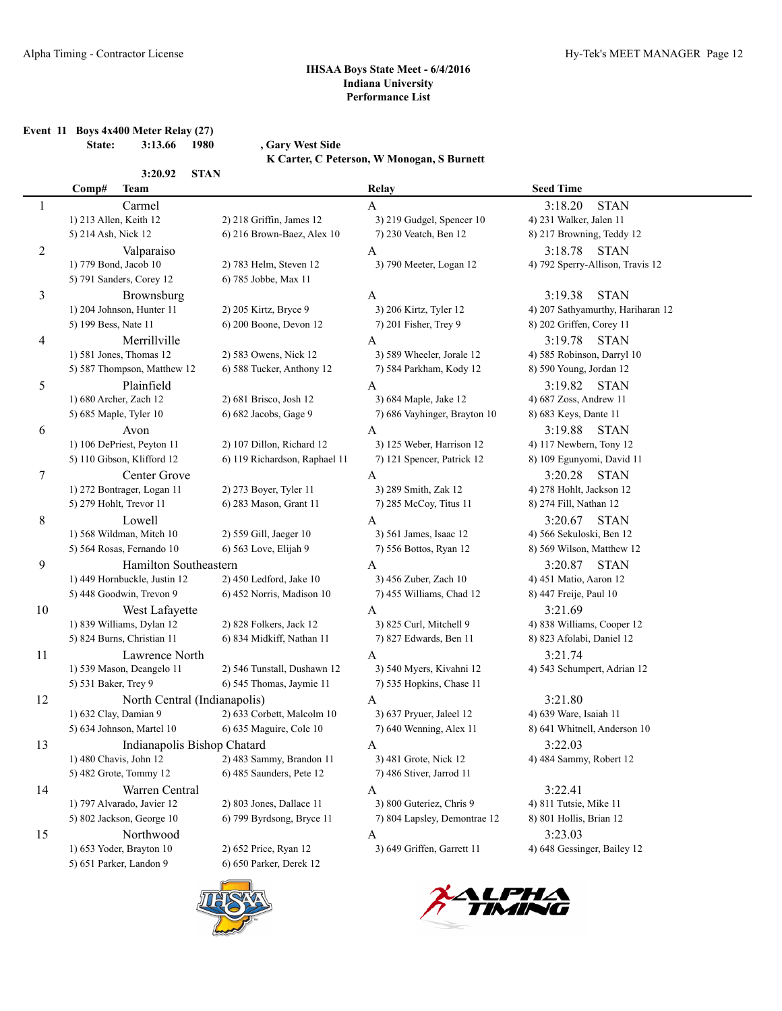**Event 11 Boys 4x400 Meter Relay (27) State: 3:13.66 1980 , Gary West Side**

| 3:20.92 | <b>STAN</b> |
|---------|-------------|
|         |             |

**K Carter, C Peterson, W Monogan, S Burnett**

|              | Comp#<br><b>Team</b>         |                               | Relay                        | <b>Seed Time</b>                  |
|--------------|------------------------------|-------------------------------|------------------------------|-----------------------------------|
| $\mathbf{1}$ | Carmel                       |                               | A                            | 3:18.20<br><b>STAN</b>            |
|              | 1) 213 Allen, Keith 12       | 2) 218 Griffin, James 12      | 3) 219 Gudgel, Spencer 10    | 4) 231 Walker, Jalen 11           |
|              | 5) 214 Ash, Nick 12          | 6) 216 Brown-Baez, Alex 10    | 7) 230 Veatch, Ben 12        | 8) 217 Browning, Teddy 12         |
| 2            | Valparaiso                   |                               | A                            | 3:18.78<br><b>STAN</b>            |
|              | 1) 779 Bond, Jacob 10        | 2) 783 Helm, Steven 12        | 3) 790 Meeter, Logan 12      | 4) 792 Sperry-Allison, Travis 12  |
|              | 5) 791 Sanders, Corey 12     | 6) 785 Jobbe, Max 11          |                              |                                   |
| 3            | Brownsburg                   |                               | A                            | <b>STAN</b><br>3:19.38            |
|              | 1) 204 Johnson, Hunter 11    | 2) 205 Kirtz, Bryce 9         | 3) 206 Kirtz, Tyler 12       | 4) 207 Sathyamurthy, Hariharan 12 |
|              | 5) 199 Bess, Nate 11         | 6) 200 Boone, Devon 12        | 7) 201 Fisher, Trey 9        | 8) 202 Griffen, Corey 11          |
| 4            | Merrillville                 |                               | A                            | 3:19.78<br><b>STAN</b>            |
|              | 1) 581 Jones, Thomas 12      | 2) 583 Owens, Nick 12         | 3) 589 Wheeler, Jorale 12    | 4) 585 Robinson, Darryl 10        |
|              | 5) 587 Thompson, Matthew 12  | 6) 588 Tucker, Anthony 12     | 7) 584 Parkham, Kody 12      | 8) 590 Young, Jordan 12           |
| 5            | Plainfield                   |                               | A                            | 3:19.82<br><b>STAN</b>            |
|              | 1) 680 Archer, Zach 12       | 2) 681 Brisco, Josh 12        | 3) 684 Maple, Jake 12        | 4) 687 Zoss, Andrew 11            |
|              | 5) 685 Maple, Tyler 10       | 6) 682 Jacobs, Gage 9         | 7) 686 Vayhinger, Brayton 10 | 8) 683 Keys, Dante 11             |
| 6            | Avon                         |                               | A                            | 3:19.88<br><b>STAN</b>            |
|              | 1) 106 DePriest, Peyton 11   | 2) 107 Dillon, Richard 12     | 3) 125 Weber, Harrison 12    | 4) 117 Newbern, Tony 12           |
|              | 5) 110 Gibson, Klifford 12   | 6) 119 Richardson, Raphael 11 | 7) 121 Spencer, Patrick 12   | 8) 109 Egunyomi, David 11         |
| 7            | Center Grove                 |                               | A                            | <b>STAN</b><br>3:20.28            |
|              | 1) 272 Bontrager, Logan 11   | 2) 273 Boyer, Tyler 11        | 3) 289 Smith, Zak 12         | 4) 278 Hohlt, Jackson 12          |
|              | 5) 279 Hohlt, Trevor 11      | 6) 283 Mason, Grant 11        | 7) 285 McCoy, Titus 11       | 8) 274 Fill, Nathan 12            |
| $\,$ $\,$    | Lowell                       |                               | A                            | 3:20.67<br><b>STAN</b>            |
|              | 1) 568 Wildman, Mitch 10     | 2) 559 Gill, Jaeger 10        | 3) 561 James, Isaac 12       | 4) 566 Sekuloski, Ben 12          |
|              | 5) 564 Rosas, Fernando 10    | 6) 563 Love, Elijah 9         | 7) 556 Bottos, Ryan 12       | 8) 569 Wilson, Matthew 12         |
| 9            | Hamilton Southeastern        |                               | A                            | 3:20.87<br><b>STAN</b>            |
|              | 1) 449 Hornbuckle, Justin 12 | 2) 450 Ledford, Jake 10       | 3) 456 Zuber, Zach 10        | 4) 451 Matio, Aaron 12            |
|              | 5) 448 Goodwin, Trevon 9     | 6) 452 Norris, Madison 10     | 7) 455 Williams, Chad 12     | 8) 447 Freije, Paul 10            |
| 10           | West Lafayette               |                               | A                            | 3:21.69                           |
|              | 1) 839 Williams, Dylan 12    | 2) 828 Folkers, Jack 12       | 3) 825 Curl, Mitchell 9      | 4) 838 Williams, Cooper 12        |
|              | 5) 824 Burns, Christian 11   | 6) 834 Midkiff, Nathan 11     | 7) 827 Edwards, Ben 11       | 8) 823 Afolabi, Daniel 12         |
| 11           | Lawrence North               |                               | A                            | 3:21.74                           |
|              | 1) 539 Mason, Deangelo 11    | 2) 546 Tunstall, Dushawn 12   | 3) 540 Myers, Kivahni 12     | 4) 543 Schumpert, Adrian 12       |
|              | 5) 531 Baker, Trey 9         | 6) 545 Thomas, Jaymie 11      | 7) 535 Hopkins, Chase 11     |                                   |
| 12           | North Central (Indianapolis) |                               | A                            | 3:21.80                           |
|              | 1) 632 Clay, Damian 9        | 2) 633 Corbett, Malcolm 10    | 3) 637 Pryuer, Jaleel 12     | 4) 639 Ware, Isaiah 11            |
|              | 5) 634 Johnson, Martel 10    | 6) 635 Maguire, Cole 10       | 7) 640 Wenning, Alex 11      | 8) 641 Whitnell, Anderson 10      |
| 13           | Indianapolis Bishop Chatard  |                               | A                            | 3:22.03                           |
|              | 1) 480 Chavis, John 12       | 2) 483 Sammy, Brandon 11      | 3) 481 Grote, Nick 12        | 4) 484 Sammy, Robert 12           |
|              | 5) 482 Grote, Tommy 12       | 6) 485 Saunders, Pete 12      | 7) 486 Stiver, Jarrod 11     |                                   |
| 14           | Warren Central               |                               | A                            | 3:22.41                           |
|              | 1) 797 Alvarado, Javier 12   | 2) 803 Jones, Dallace 11      | 3) 800 Guteriez, Chris 9     | 4) 811 Tutsie, Mike 11            |
|              | 5) 802 Jackson, George 10    | 6) 799 Byrdsong, Bryce 11     | 7) 804 Lapsley, Demontrae 12 | 8) 801 Hollis, Brian 12           |
| 15           | Northwood                    |                               | A                            | 3:23.03                           |
|              | 1) 653 Yoder, Brayton 10     | 2) 652 Price, Ryan 12         | 3) 649 Griffen, Garrett 11   | 4) 648 Gessinger, Bailey 12       |
|              | 5) 651 Parker, Landon 9      | 6) 650 Parker, Derek 12       |                              |                                   |
|              |                              |                               |                              |                                   |



\LPHA<br>TIMING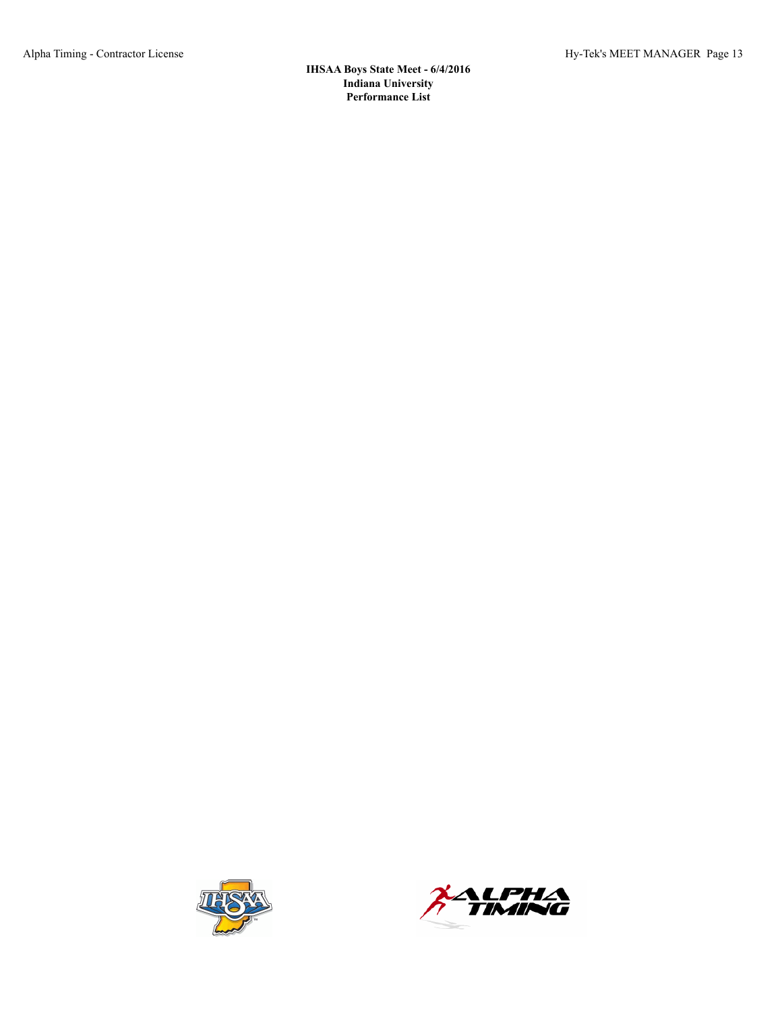

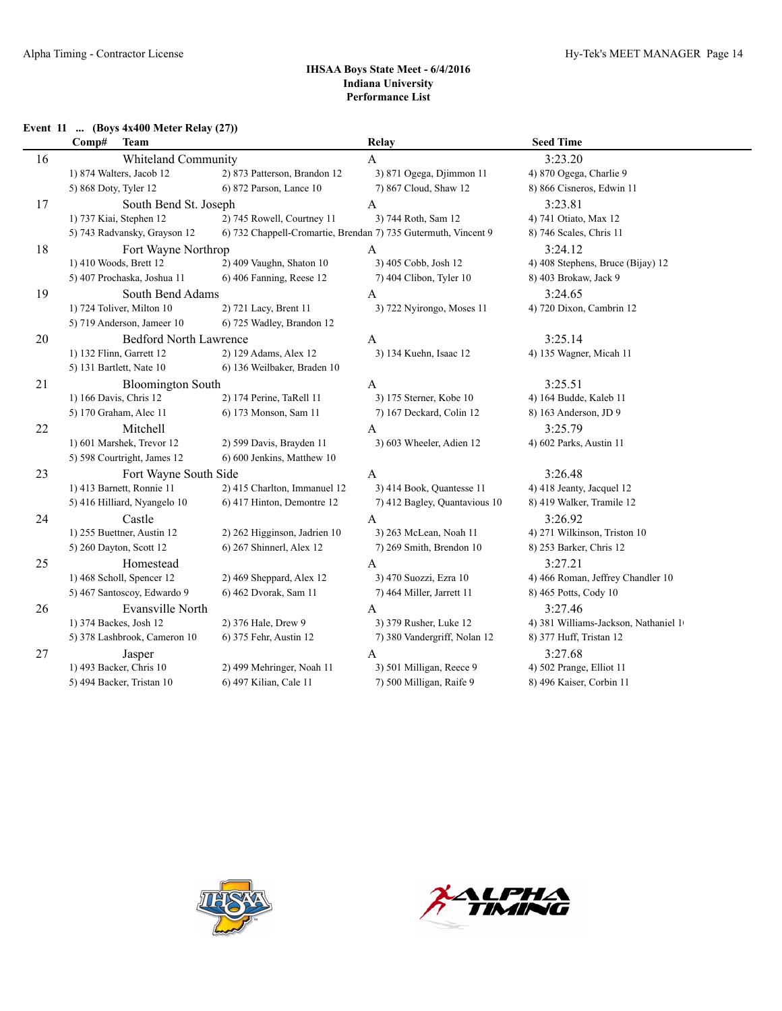### **Event 11 ... (Boys 4x400 Meter Relay (27))**

|    | Comp#<br><b>Team</b>          |                              | <b>Relay</b>                                                   | <b>Seed Time</b>                     |  |
|----|-------------------------------|------------------------------|----------------------------------------------------------------|--------------------------------------|--|
| 16 | Whiteland Community           |                              | $\mathbf{A}$                                                   | 3:23.20                              |  |
|    | 1) 874 Walters, Jacob 12      | 2) 873 Patterson, Brandon 12 | 3) 871 Ogega, Djimmon 11                                       | 4) 870 Ogega, Charlie 9              |  |
|    | 5) 868 Doty, Tyler 12         | 6) 872 Parson, Lance 10      | 7) 867 Cloud, Shaw 12                                          | 8) 866 Cisneros, Edwin 11            |  |
| 17 | South Bend St. Joseph         |                              | A                                                              | 3:23.81                              |  |
|    | 1) 737 Kiai, Stephen 12       | 2) 745 Rowell, Courtney 11   | 3) 744 Roth, Sam 12                                            | 4) 741 Otiato, Max 12                |  |
|    | 5) 743 Radvansky, Grayson 12  |                              | 6) 732 Chappell-Cromartie, Brendan 7) 735 Gutermuth, Vincent 9 | 8) 746 Scales, Chris 11              |  |
| 18 | Fort Wayne Northrop           |                              | $\mathbf{A}$                                                   | 3:24.12                              |  |
|    | 1) 410 Woods, Brett 12        | 2) 409 Vaughn, Shaton 10     | 3) 405 Cobb, Josh 12                                           | 4) 408 Stephens, Bruce (Bijay) 12    |  |
|    | 5) 407 Prochaska, Joshua 11   | 6) 406 Fanning, Reese 12     | 7) 404 Clibon, Tyler 10                                        | 8) 403 Brokaw, Jack 9                |  |
| 19 | South Bend Adams              |                              | A                                                              | 3:24.65                              |  |
|    | 1) 724 Toliver, Milton 10     | 2) 721 Lacy, Brent 11        | 3) 722 Nyirongo, Moses 11                                      | 4) 720 Dixon, Cambrin 12             |  |
|    | 5) 719 Anderson, Jameer 10    | 6) 725 Wadley, Brandon 12    |                                                                |                                      |  |
| 20 | <b>Bedford North Lawrence</b> |                              | $\mathbf{A}$                                                   | 3:25.14                              |  |
|    | 1) 132 Flinn, Garrett 12      | 2) 129 Adams, Alex 12        | 3) 134 Kuehn, Isaac 12                                         | 4) 135 Wagner, Micah 11              |  |
|    | 5) 131 Bartlett, Nate 10      | 6) 136 Weilbaker, Braden 10  |                                                                |                                      |  |
| 21 | <b>Bloomington South</b>      |                              | A                                                              | 3:25.51                              |  |
|    | 1) 166 Davis, Chris 12        | 2) 174 Perine, TaRell 11     | 3) 175 Sterner, Kobe 10                                        | 4) 164 Budde, Kaleb 11               |  |
|    | 5) 170 Graham, Alec 11        | 6) 173 Monson, Sam 11        | 7) 167 Deckard, Colin 12                                       | 8) 163 Anderson, JD 9                |  |
| 22 | Mitchell                      |                              | A                                                              | 3:25.79                              |  |
|    | 1) 601 Marshek, Trevor 12     | 2) 599 Davis, Brayden 11     | 3) 603 Wheeler, Adien 12                                       | 4) 602 Parks, Austin 11              |  |
|    | 5) 598 Courtright, James 12   | 6) 600 Jenkins, Matthew 10   |                                                                |                                      |  |
| 23 | Fort Wayne South Side         |                              | $\mathbf{A}$                                                   | 3:26.48                              |  |
|    | 1) 413 Barnett, Ronnie 11     | 2) 415 Charlton, Immanuel 12 | 3) 414 Book, Quantesse 11                                      | 4) 418 Jeanty, Jacquel 12            |  |
|    | 5) 416 Hilliard, Nyangelo 10  | 6) 417 Hinton, Demontre 12   | 7) 412 Bagley, Quantavious 10                                  | 8) 419 Walker, Tramile 12            |  |
| 24 | Castle                        |                              | A                                                              | 3:26.92                              |  |
|    | 1) 255 Buettner, Austin 12    | 2) 262 Higginson, Jadrien 10 | 3) 263 McLean, Noah 11                                         | 4) 271 Wilkinson, Triston 10         |  |
|    | 5) 260 Dayton, Scott 12       | 6) 267 Shinnerl, Alex 12     | 7) 269 Smith, Brendon 10                                       | 8) 253 Barker, Chris 12              |  |
| 25 | Homestead                     |                              | A                                                              | 3:27.21                              |  |
|    | 1) 468 Scholl, Spencer 12     | $2)$ 469 Sheppard, Alex 12   | 3) 470 Suozzi, Ezra 10                                         | 4) 466 Roman, Jeffrey Chandler 10    |  |
|    | 5) 467 Santoscoy, Edwardo 9   | 6) 462 Dvorak, Sam 11        | 7) 464 Miller, Jarrett 11                                      | 8) 465 Potts, Cody 10                |  |
| 26 | Evansville North              |                              | A                                                              | 3:27.46                              |  |
|    | 1) 374 Backes, Josh 12        | 2) 376 Hale, Drew 9          | 3) 379 Rusher, Luke 12                                         | 4) 381 Williams-Jackson, Nathaniel 1 |  |
|    | 5) 378 Lashbrook, Cameron 10  | 6) 375 Fehr, Austin 12       | 7) 380 Vandergriff, Nolan 12                                   | 8) 377 Huff, Tristan 12              |  |
| 27 | Jasper                        |                              | A                                                              | 3:27.68                              |  |
|    | 1) 493 Backer, Chris 10       | 2) 499 Mehringer, Noah 11    | 3) 501 Milligan, Reece 9                                       | 4) 502 Prange, Elliot 11             |  |
|    | 5) 494 Backer, Tristan 10     | 6) 497 Kilian, Cale 11       | 7) 500 Milligan, Raife 9                                       | 8) 496 Kaiser, Corbin 11             |  |
|    |                               |                              |                                                                |                                      |  |



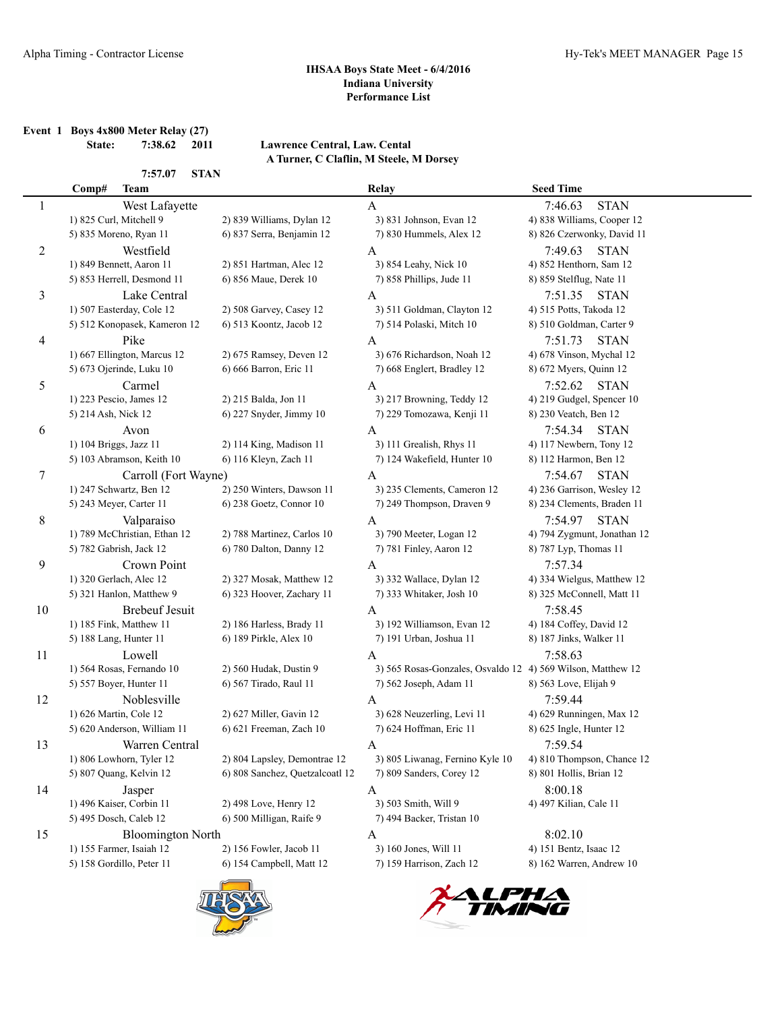**Event 1 Boys 4x800 Meter Relay (27)**

**7:57.07 STAN**

**State: 7:38.62 2011 Lawrence Central, Law. Cental A Turner, C Claflin, M Steele, M Dorsey**

|                | Comp#<br><b>Team</b>         |                                 | Relay                                                       | <b>Seed Time</b>            |
|----------------|------------------------------|---------------------------------|-------------------------------------------------------------|-----------------------------|
| 1              | West Lafayette               |                                 | $\mathbf{A}$                                                | 7:46.63<br><b>STAN</b>      |
|                | 1) 825 Curl, Mitchell 9      | 2) 839 Williams, Dylan 12       | 3) 831 Johnson, Evan 12                                     | 4) 838 Williams, Cooper 12  |
|                | 5) 835 Moreno, Ryan 11       | 6) 837 Serra, Benjamin 12       | 7) 830 Hummels, Alex 12                                     | 8) 826 Czerwonky, David 11  |
| $\overline{c}$ | Westfield                    |                                 | A                                                           | 7:49.63<br><b>STAN</b>      |
|                | 1) 849 Bennett, Aaron 11     | 2) 851 Hartman, Alec 12         | 3) 854 Leahy, Nick 10                                       | 4) 852 Henthorn, Sam 12     |
|                | 5) 853 Herrell, Desmond 11   | 6) 856 Maue, Derek 10           | 7) 858 Phillips, Jude 11                                    | 8) 859 Stelflug, Nate 11    |
| 3              | Lake Central                 |                                 | Α                                                           | 7:51.35<br><b>STAN</b>      |
|                | 1) 507 Easterday, Cole 12    | 2) 508 Garvey, Casey 12         | 3) 511 Goldman, Clayton 12                                  | 4) 515 Potts, Takoda 12     |
|                | 5) 512 Konopasek, Kameron 12 | 6) 513 Koontz, Jacob 12         | 7) 514 Polaski, Mitch 10                                    | 8) 510 Goldman, Carter 9    |
| 4              | Pike                         |                                 | A                                                           | <b>STAN</b><br>7:51.73      |
|                | 1) 667 Ellington, Marcus 12  | 2) 675 Ramsey, Deven 12         | 3) 676 Richardson, Noah 12                                  | 4) 678 Vinson, Mychal 12    |
|                | 5) 673 Ojerinde, Luku 10     | 6) 666 Barron, Eric 11          | 7) 668 Englert, Bradley 12                                  | 8) 672 Myers, Quinn 12      |
| 5              | Carmel                       |                                 | A                                                           | 7:52.62<br><b>STAN</b>      |
|                | 1) 223 Pescio, James 12      | 2) 215 Balda, Jon 11            | 3) 217 Browning, Teddy 12                                   | 4) 219 Gudgel, Spencer 10   |
|                | 5) 214 Ash, Nick 12          | 6) 227 Snyder, Jimmy 10         | 7) 229 Tomozawa, Kenji 11                                   | 8) 230 Veatch, Ben 12       |
| 6              | Avon                         |                                 | A                                                           | 7:54.34<br><b>STAN</b>      |
|                | 1) 104 Briggs, Jazz 11       | 2) 114 King, Madison 11         | 3) 111 Grealish, Rhys 11                                    | 4) 117 Newbern, Tony 12     |
|                | 5) 103 Abramson, Keith 10    | 6) 116 Kleyn, Zach 11           | 7) 124 Wakefield, Hunter 10                                 | 8) 112 Harmon, Ben 12       |
| 7              | Carroll (Fort Wayne)         |                                 | A                                                           | 7:54.67<br><b>STAN</b>      |
|                | 1) 247 Schwartz, Ben 12      | 2) 250 Winters, Dawson 11       | 3) 235 Clements, Cameron 12                                 | 4) 236 Garrison, Wesley 12  |
|                | 5) 243 Meyer, Carter 11      | 6) 238 Goetz, Connor 10         | 7) 249 Thompson, Draven 9                                   | 8) 234 Clements, Braden 11  |
| $\,$ $\,$      | Valparaiso                   |                                 | $\mathbf{A}$                                                | 7:54.97<br><b>STAN</b>      |
|                | 1) 789 McChristian, Ethan 12 | 2) 788 Martinez, Carlos 10      | 3) 790 Meeter, Logan 12                                     | 4) 794 Zygmunt, Jonathan 12 |
|                | 5) 782 Gabrish, Jack 12      | 6) 780 Dalton, Danny 12         | 7) 781 Finley, Aaron 12                                     | 8) 787 Lyp, Thomas 11       |
| 9              | Crown Point                  |                                 | A                                                           | 7:57.34                     |
|                | 1) 320 Gerlach, Alec 12      | 2) 327 Mosak, Matthew 12        | 3) 332 Wallace, Dylan 12                                    | 4) 334 Wielgus, Matthew 12  |
|                | 5) 321 Hanlon, Matthew 9     | 6) 323 Hoover, Zachary 11       | 7) 333 Whitaker, Josh 10                                    | 8) 325 McConnell, Matt 11   |
| 10             | <b>Brebeuf Jesuit</b>        |                                 | A                                                           | 7:58.45                     |
|                | 1) 185 Fink, Matthew 11      | 2) 186 Harless, Brady 11        | 3) 192 Williamson, Evan 12                                  | 4) 184 Coffey, David 12     |
|                | 5) 188 Lang, Hunter 11       | 6) 189 Pirkle, Alex 10          | 7) 191 Urban, Joshua 11                                     | 8) 187 Jinks, Walker 11     |
| 11             | Lowell                       |                                 | A                                                           | 7:58.63                     |
|                | 1) 564 Rosas, Fernando 10    | 2) 560 Hudak, Dustin 9          | 3) 565 Rosas-Gonzales, Osvaldo 12 4) 569 Wilson, Matthew 12 |                             |
|                | 5) 557 Boyer, Hunter 11      | 6) 567 Tirado, Raul 11          | 7) 562 Joseph, Adam 11                                      | 8) 563 Love, Elijah 9       |
| 12             | Noblesville                  |                                 | A                                                           | 7:59.44                     |
|                | 1) 626 Martin, Cole 12       | 2) 627 Miller, Gavin 12         | 3) 628 Neuzerling, Levi 11                                  | 4) 629 Runningen, Max 12    |
|                | 5) 620 Anderson, William 11  | 6) 621 Freeman, Zach 10         | 7) 624 Hoffman, Eric 11                                     | 8) 625 Ingle, Hunter 12     |
| 13             | Warren Central               |                                 | A                                                           | 7:59.54                     |
|                | 1) 806 Lowhorn, Tyler 12     | 2) 804 Lapsley, Demontrae 12    | 3) 805 Liwanag, Fernino Kyle 10                             | 4) 810 Thompson, Chance 12  |
|                | 5) 807 Quang, Kelvin 12      | 6) 808 Sanchez, Quetzalcoatl 12 | 7) 809 Sanders, Corey 12                                    | 8) 801 Hollis, Brian 12     |
| 14             | Jasper                       |                                 | A                                                           | 8:00.18                     |
|                | 1) 496 Kaiser, Corbin 11     | 2) 498 Love, Henry 12           | 3) 503 Smith, Will 9                                        | 4) 497 Kilian, Cale 11      |
|                | 5) 495 Dosch, Caleb 12       | 6) 500 Milligan, Raife 9        | 7) 494 Backer, Tristan 10                                   |                             |
| 15             | <b>Bloomington North</b>     |                                 | A                                                           | 8:02.10                     |
|                | 1) 155 Farmer, Isaiah 12     | 2) 156 Fowler, Jacob 11         | 3) 160 Jones, Will 11                                       | 4) 151 Bentz, Isaac 12      |
|                | 5) 158 Gordillo, Peter 11    | 6) 154 Campbell, Matt 12        | 7) 159 Harrison, Zach 12                                    | 8) 162 Warren, Andrew 10    |
|                |                              |                                 |                                                             |                             |



\LPHA<br>TIMING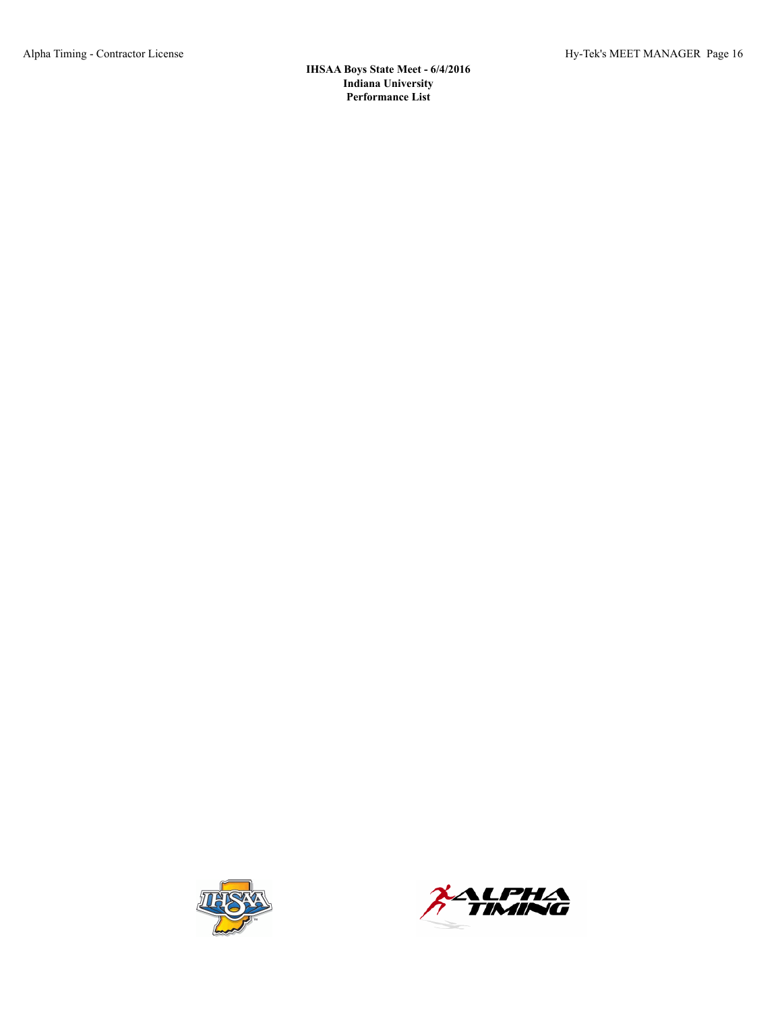

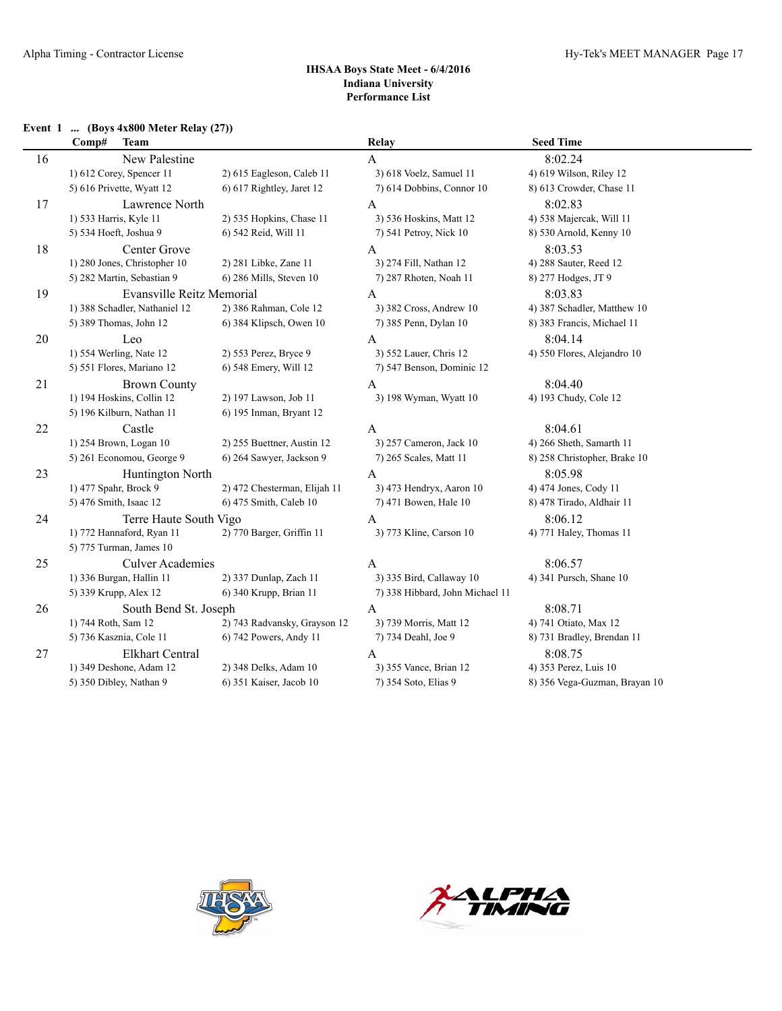l,

#### Alpha Timing - Contractor License Hy-Tek's MEET MANAGER Page 17

#### **IHSAA Boys State Meet - 6/4/2016 Indiana University Performance List**

#### **Event 1 ... (Boys 4x800 Meter Relay (27))**

|    | <b>Team</b><br>Comp#          |                              | Relay                           | <b>Seed Time</b>              |
|----|-------------------------------|------------------------------|---------------------------------|-------------------------------|
| 16 | New Palestine                 |                              | A                               | 8:02.24                       |
|    | 1) 612 Corey, Spencer 11      | 2) 615 Eagleson, Caleb 11    | 3) 618 Voelz, Samuel 11         | 4) 619 Wilson, Riley 12       |
|    | 5) 616 Privette, Wyatt 12     | 6) 617 Rightley, Jaret 12    | 7) 614 Dobbins, Connor 10       | 8) 613 Crowder, Chase 11      |
| 17 | Lawrence North                |                              | $\mathbf{A}$                    | 8:02.83                       |
|    | 1) 533 Harris, Kyle 11        | 2) 535 Hopkins, Chase 11     | 3) 536 Hoskins, Matt 12         | 4) 538 Majercak, Will 11      |
|    | 5) 534 Hoeft, Joshua 9        | 6) 542 Reid, Will 11         | 7) 541 Petroy, Nick 10          | 8) 530 Arnold, Kenny 10       |
| 18 | Center Grove                  |                              | $\mathbf{A}$                    | 8:03.53                       |
|    | 1) 280 Jones, Christopher 10  | 2) 281 Libke, Zane 11        | 3) 274 Fill, Nathan 12          | 4) 288 Sauter, Reed 12        |
|    | 5) 282 Martin, Sebastian 9    | 6) 286 Mills, Steven 10      | 7) 287 Rhoten, Noah 11          | 8) 277 Hodges, JT 9           |
| 19 | Evansville Reitz Memorial     |                              | A                               | 8:03.83                       |
|    | 1) 388 Schadler, Nathaniel 12 | 2) 386 Rahman, Cole 12       | 3) 382 Cross, Andrew 10         | 4) 387 Schadler, Matthew 10   |
|    | 5) 389 Thomas, John 12        | 6) 384 Klipsch, Owen 10      | 7) 385 Penn, Dylan 10           | 8) 383 Francis, Michael 11    |
| 20 | Leo                           |                              | A                               | 8:04.14                       |
|    | 1) 554 Werling, Nate 12       | 2) 553 Perez, Bryce 9        | 3) 552 Lauer, Chris 12          | 4) 550 Flores, Alejandro 10   |
|    | 5) 551 Flores, Mariano 12     | 6) 548 Emery, Will 12        | 7) 547 Benson, Dominic 12       |                               |
| 21 | <b>Brown County</b>           |                              | A                               | 8:04.40                       |
|    | 1) 194 Hoskins, Collin 12     | 2) 197 Lawson, Job 11        | 3) 198 Wyman, Wyatt 10          | 4) 193 Chudy, Cole 12         |
|    | 5) 196 Kilburn, Nathan 11     | 6) 195 Inman, Bryant 12      |                                 |                               |
| 22 | Castle                        |                              | $\mathbf{A}$                    | 8:04.61                       |
|    | 1) 254 Brown, Logan 10        | 2) 255 Buettner, Austin 12   | 3) 257 Cameron, Jack 10         | 4) 266 Sheth, Samarth 11      |
|    | 5) 261 Economou, George 9     | 6) 264 Sawyer, Jackson 9     | 7) 265 Scales, Matt 11          | 8) 258 Christopher, Brake 10  |
| 23 | Huntington North              |                              | $\mathbf{A}$                    | 8:05.98                       |
|    | 1) 477 Spahr, Brock 9         | 2) 472 Chesterman, Elijah 11 | 3) 473 Hendryx, Aaron 10        | 4) 474 Jones, Cody 11         |
|    | 5) 476 Smith, Isaac 12        | 6) 475 Smith, Caleb 10       | 7) 471 Bowen, Hale 10           | 8) 478 Tirado, Aldhair 11     |
| 24 | Terre Haute South Vigo        |                              | A                               | 8:06.12                       |
|    | 1) 772 Hannaford, Ryan 11     | 2) 770 Barger, Griffin 11    | 3) 773 Kline, Carson 10         | 4) 771 Haley, Thomas 11       |
|    | 5) 775 Turman, James 10       |                              |                                 |                               |
| 25 | <b>Culver Academies</b>       |                              | A                               | 8:06.57                       |
|    | 1) 336 Burgan, Hallin 11      | 2) 337 Dunlap, Zach 11       | 3) 335 Bird, Callaway 10        | 4) 341 Pursch, Shane 10       |
|    | 5) 339 Krupp, Alex 12         | 6) 340 Krupp, Brian 11       | 7) 338 Hibbard, John Michael 11 |                               |
| 26 | South Bend St. Joseph         |                              | $\mathbf{A}$                    | 8:08.71                       |
|    | 1) 744 Roth, Sam 12           | 2) 743 Radvansky, Grayson 12 | 3) 739 Morris, Matt 12          | 4) 741 Otiato, Max 12         |
|    | 5) 736 Kasznia, Cole 11       | 6) 742 Powers, Andy 11       | 7) 734 Deahl, Joe 9             | 8) 731 Bradley, Brendan 11    |
| 27 | Elkhart Central               |                              | A                               | 8:08.75                       |
|    | 1) 349 Deshone, Adam 12       | 2) 348 Delks, Adam 10        | 3) 355 Vance, Brian 12          | 4) 353 Perez, Luis 10         |
|    | 5) 350 Dibley, Nathan 9       | 6) 351 Kaiser, Jacob 10      | 7) 354 Soto, Elias 9            | 8) 356 Vega-Guzman, Brayan 10 |
|    |                               |                              |                                 |                               |



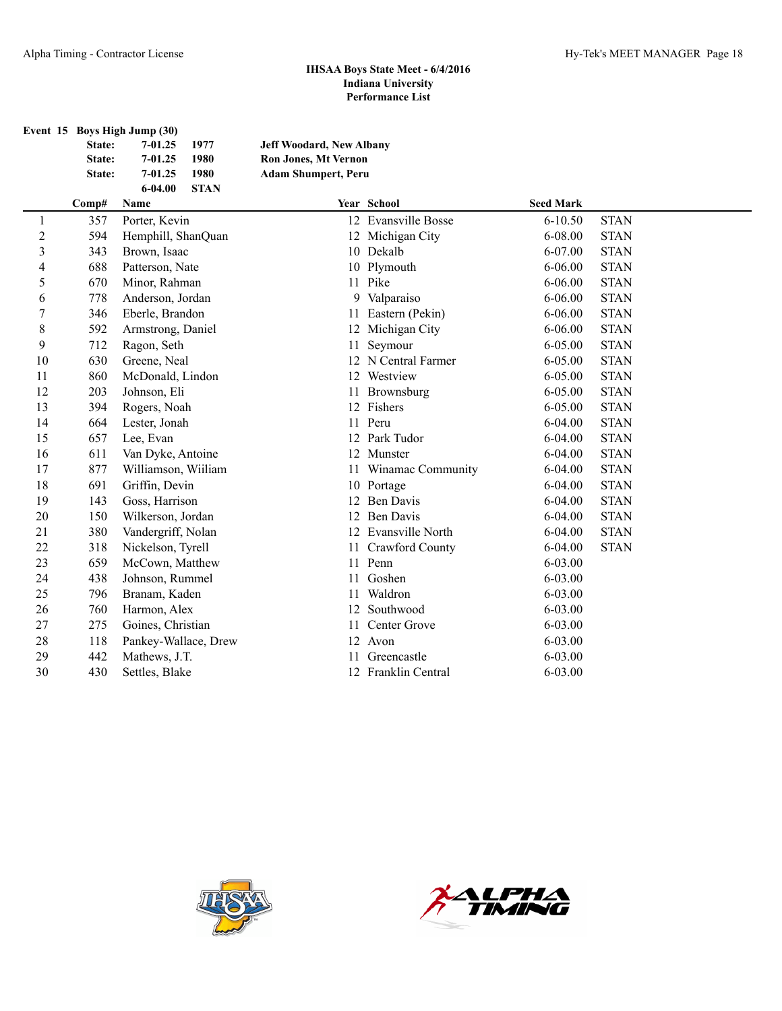|             |        | Event 15 Boys High Jump (30) |                                 |                     |                  |             |
|-------------|--------|------------------------------|---------------------------------|---------------------|------------------|-------------|
|             | State: | 1977<br>7-01.25              | <b>Jeff Woodard, New Albany</b> |                     |                  |             |
|             | State: | 1980<br>$7 - 01.25$          | <b>Ron Jones, Mt Vernon</b>     |                     |                  |             |
|             | State: | 1980<br>7-01.25              | <b>Adam Shumpert, Peru</b>      |                     |                  |             |
|             |        | <b>STAN</b><br>$6 - 04.00$   |                                 |                     |                  |             |
|             | Comp#  | Name                         |                                 | Year School         | <b>Seed Mark</b> |             |
| 1           | 357    | Porter, Kevin                |                                 | 12 Evansville Bosse | $6 - 10.50$      | <b>STAN</b> |
| $\sqrt{2}$  | 594    | Hemphill, ShanQuan           | 12                              | Michigan City       | 6-08.00          | <b>STAN</b> |
| 3           | 343    | Brown, Isaac                 | 10                              | Dekalb              | 6-07.00          | <b>STAN</b> |
| 4           | 688    | Patterson, Nate              | 10                              | Plymouth            | $6 - 06.00$      | <b>STAN</b> |
| 5           | 670    | Minor, Rahman                | 11                              | Pike                | $6 - 06.00$      | <b>STAN</b> |
| 6           | 778    | Anderson, Jordan             | 9                               | Valparaiso          | $6 - 06.00$      | <b>STAN</b> |
| $\tau$      | 346    | Eberle, Brandon              |                                 | 11 Eastern (Pekin)  | $6 - 06.00$      | <b>STAN</b> |
| $\,$ 8 $\,$ | 592    | Armstrong, Daniel            | 12                              | Michigan City       | $6 - 06.00$      | <b>STAN</b> |
| 9           | 712    | Ragon, Seth                  | 11                              | Seymour             | 6-05.00          | <b>STAN</b> |
| 10          | 630    | Greene, Neal                 |                                 | 12 N Central Farmer | $6 - 05.00$      | <b>STAN</b> |
| 11          | 860    | McDonald, Lindon             |                                 | 12 Westview         | 6-05.00          | <b>STAN</b> |
| 12          | 203    | Johnson, Eli                 | 11                              | Brownsburg          | 6-05.00          | <b>STAN</b> |
| 13          | 394    | Rogers, Noah                 | 12                              | Fishers             | 6-05.00          | <b>STAN</b> |
| 14          | 664    | Lester, Jonah                | 11                              | Peru                | 6-04.00          | <b>STAN</b> |
| 15          | 657    | Lee, Evan                    | 12                              | Park Tudor          | 6-04.00          | <b>STAN</b> |
| 16          | 611    | Van Dyke, Antoine            | 12                              | Munster             | $6 - 04.00$      | <b>STAN</b> |
| 17          | 877    | Williamson, Wiiliam          | 11                              | Winamac Community   | $6 - 04.00$      | <b>STAN</b> |
| 18          | 691    | Griffin, Devin               | 10                              | Portage             | $6 - 04.00$      | <b>STAN</b> |
| 19          | 143    | Goss, Harrison               | 12                              | <b>Ben Davis</b>    | $6 - 04.00$      | <b>STAN</b> |
| 20          | 150    | Wilkerson, Jordan            | 12                              | <b>Ben Davis</b>    | $6 - 04.00$      | <b>STAN</b> |
| 21          | 380    | Vandergriff, Nolan           |                                 | 12 Evansville North | $6 - 04.00$      | <b>STAN</b> |
| 22          | 318    | Nickelson, Tyrell            | 11                              | Crawford County     | $6 - 04.00$      | <b>STAN</b> |
| 23          | 659    | McCown, Matthew              | 11                              | Penn                | 6-03.00          |             |
| 24          | 438    | Johnson, Rummel              | 11                              | Goshen              | 6-03.00          |             |
| 25          | 796    | Branam, Kaden                | 11                              | Waldron             | 6-03.00          |             |
| 26          | 760    | Harmon, Alex                 | 12                              | Southwood           | 6-03.00          |             |
| 27          | 275    | Goines, Christian            | 11                              | Center Grove        | 6-03.00          |             |
| 28          | 118    | Pankey-Wallace, Drew         | 12                              | Avon                | 6-03.00          |             |
| 29          | 442    | Mathews, J.T.                | 11                              | Greencastle         | 6-03.00          |             |
| 30          | 430    | Settles, Blake               |                                 | 12 Franklin Central | 6-03.00          |             |



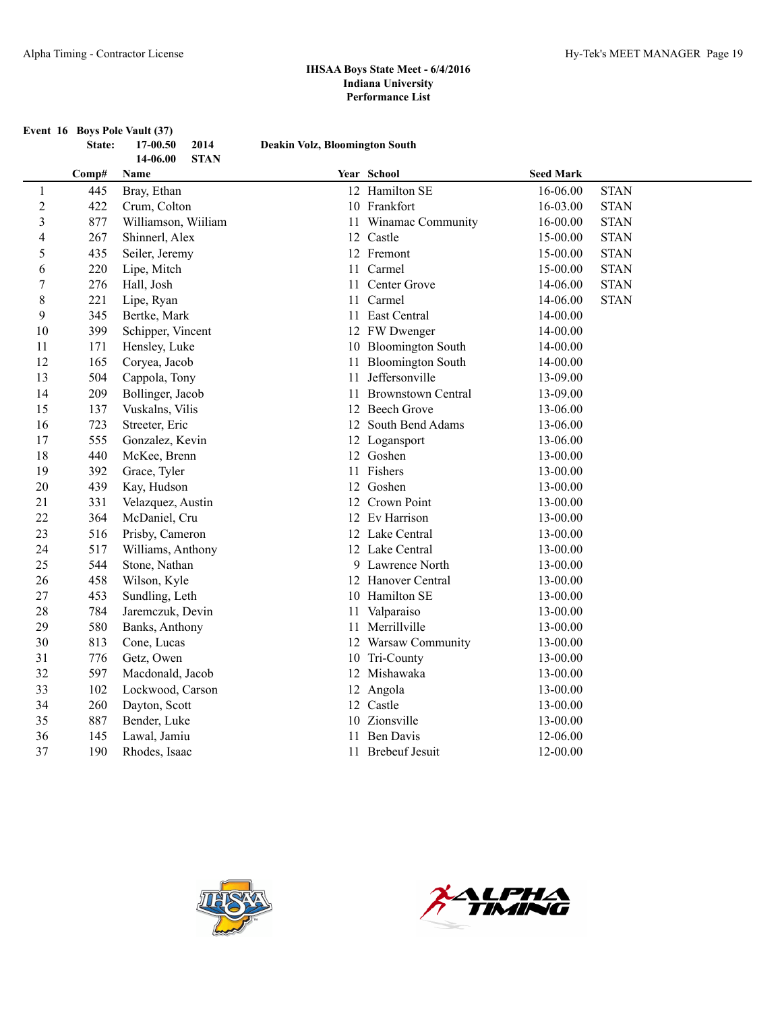|              |        | Event 16 Boys Pole Vault (37)   |                                       |                           |                  |             |
|--------------|--------|---------------------------------|---------------------------------------|---------------------------|------------------|-------------|
|              | State: | 2014<br>17-00.50                | <b>Deakin Volz, Bloomington South</b> |                           |                  |             |
|              | Comp#  | <b>STAN</b><br>14-06.00<br>Name |                                       | Year School               | <b>Seed Mark</b> |             |
| $\mathbf{1}$ | 445    | Bray, Ethan                     |                                       | 12 Hamilton SE            | 16-06.00         | <b>STAN</b> |
| $\sqrt{2}$   | 422    | Crum, Colton                    |                                       | 10 Frankfort              | 16-03.00         | <b>STAN</b> |
| 3            | 877    | Williamson, Wiiliam             |                                       | 11 Winamac Community      | 16-00.00         | <b>STAN</b> |
| 4            | 267    | Shinnerl, Alex                  |                                       | 12 Castle                 | 15-00.00         | <b>STAN</b> |
| 5            | 435    | Seiler, Jeremy                  |                                       | 12 Fremont                | 15-00.00         | <b>STAN</b> |
| 6            | 220    | Lipe, Mitch                     |                                       | 11 Carmel                 | 15-00.00         | <b>STAN</b> |
| $\tau$       | 276    | Hall, Josh                      | 11                                    | Center Grove              | 14-06.00         | <b>STAN</b> |
| $\,$ 8 $\,$  | 221    | Lipe, Ryan                      | 11                                    | Carmel                    | 14-06.00         | <b>STAN</b> |
| 9            | 345    | Bertke, Mark                    |                                       | 11 East Central           | 14-00.00         |             |
| 10           | 399    | Schipper, Vincent               |                                       | 12 FW Dwenger             | 14-00.00         |             |
| 11           | 171    | Hensley, Luke                   |                                       | 10 Bloomington South      | 14-00.00         |             |
| 12           | 165    | Coryea, Jacob                   | 11                                    | <b>Bloomington South</b>  | 14-00.00         |             |
| 13           | 504    | Cappola, Tony                   | 11                                    | Jeffersonville            | 13-09.00         |             |
| 14           | 209    | Bollinger, Jacob                | 11                                    | <b>Brownstown Central</b> | 13-09.00         |             |
| 15           | 137    | Vuskalns, Vilis                 |                                       | 12 Beech Grove            | 13-06.00         |             |
| 16           | 723    | Streeter, Eric                  |                                       | 12 South Bend Adams       | 13-06.00         |             |
| 17           | 555    | Gonzalez, Kevin                 |                                       | 12 Logansport             | 13-06.00         |             |
| 18           | 440    | McKee, Brenn                    |                                       | 12 Goshen                 | 13-00.00         |             |
| 19           | 392    | Grace, Tyler                    |                                       | 11 Fishers                | 13-00.00         |             |
| 20           | 439    | Kay, Hudson                     |                                       | 12 Goshen                 | 13-00.00         |             |
| 21           | 331    | Velazquez, Austin               |                                       | 12 Crown Point            | 13-00.00         |             |
| 22           | 364    | McDaniel, Cru                   |                                       | 12 Ev Harrison            | 13-00.00         |             |
| 23           | 516    | Prisby, Cameron                 |                                       | 12 Lake Central           | 13-00.00         |             |
| 24           | 517    | Williams, Anthony               |                                       | 12 Lake Central           | 13-00.00         |             |
| 25           | 544    | Stone, Nathan                   |                                       | 9 Lawrence North          | 13-00.00         |             |
| 26           | 458    | Wilson, Kyle                    |                                       | 12 Hanover Central        | 13-00.00         |             |
| 27           | 453    | Sundling, Leth                  |                                       | 10 Hamilton SE            | 13-00.00         |             |
| 28           | 784    | Jaremczuk, Devin                |                                       | 11 Valparaiso             | 13-00.00         |             |
| 29           | 580    | Banks, Anthony                  |                                       | 11 Merrillville           | 13-00.00         |             |
| 30           | 813    | Cone, Lucas                     |                                       | 12 Warsaw Community       | 13-00.00         |             |
| 31           | 776    | Getz, Owen                      |                                       | 10 Tri-County             | 13-00.00         |             |
| 32           | 597    | Macdonald, Jacob                |                                       | 12 Mishawaka              | 13-00.00         |             |
| 33           | 102    | Lockwood, Carson                |                                       | 12 Angola                 | 13-00.00         |             |
| 34           | 260    | Dayton, Scott                   |                                       | 12 Castle                 | 13-00.00         |             |
| 35           | 887    | Bender, Luke                    |                                       | 10 Zionsville             | 13-00.00         |             |
| 36           | 145    | Lawal, Jamiu                    | 11                                    | <b>Ben Davis</b>          | 12-06.00         |             |
| 37           | 190    | Rhodes, Isaac                   |                                       | 11 Brebeuf Jesuit         | 12-00.00         |             |



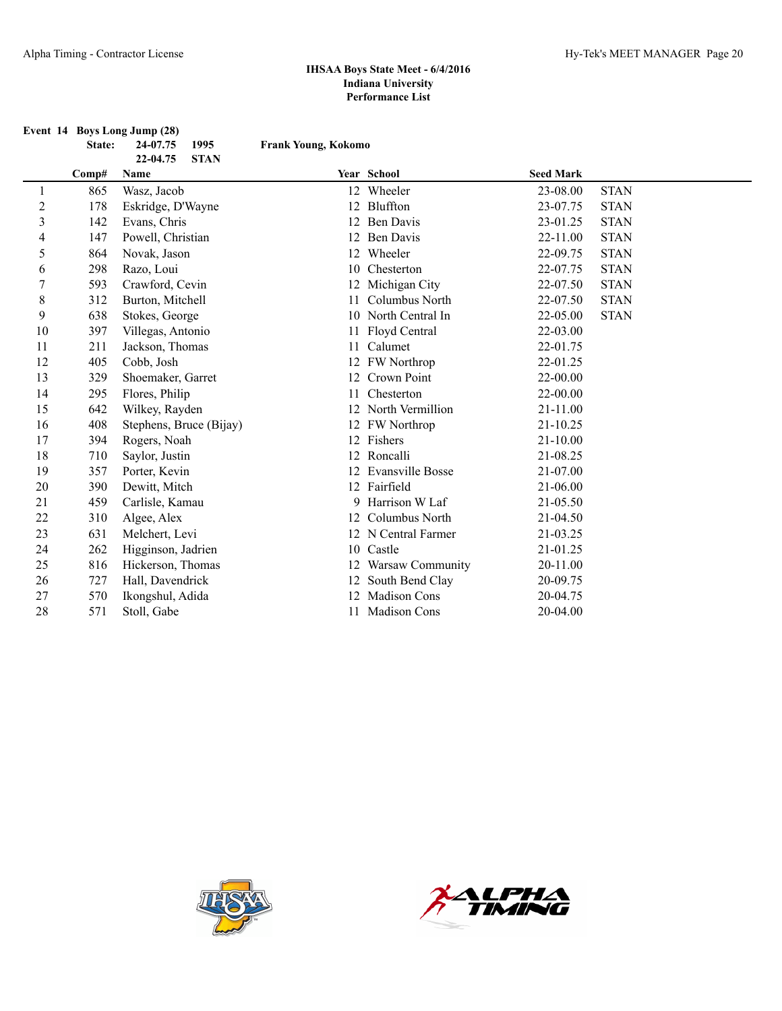**Event 14 Boys Long Jump (28)**

|                         | State: | 24-07.75<br>1995        | Frank Young, Kokomo |                     |                  |             |
|-------------------------|--------|-------------------------|---------------------|---------------------|------------------|-------------|
|                         |        | <b>STAN</b><br>22-04.75 |                     |                     |                  |             |
|                         | Comp#  | Name                    |                     | Year School         | <b>Seed Mark</b> |             |
| 1                       | 865    | Wasz, Jacob             |                     | 12 Wheeler          | 23-08.00         | <b>STAN</b> |
| 2                       | 178    | Eskridge, D'Wayne       | 12                  | Bluffton            | 23-07.75         | <b>STAN</b> |
| $\overline{\mathbf{3}}$ | 142    | Evans, Chris            |                     | <b>Ben Davis</b>    | 23-01.25         | <b>STAN</b> |
| 4                       | 147    | Powell, Christian       |                     | 12 Ben Davis        | 22-11.00         | <b>STAN</b> |
| 5                       | 864    | Novak, Jason            | 12                  | Wheeler             | 22-09.75         | <b>STAN</b> |
| 6                       | 298    | Razo, Loui              | 10                  | Chesterton          | 22-07.75         | <b>STAN</b> |
| 7                       | 593    | Crawford, Cevin         | 12                  | Michigan City       | 22-07.50         | <b>STAN</b> |
| $\,$ 8 $\,$             | 312    | Burton, Mitchell        |                     | Columbus North      | 22-07.50         | <b>STAN</b> |
| 9                       | 638    | Stokes, George          |                     | 10 North Central In | 22-05.00         | <b>STAN</b> |
| 10                      | 397    | Villegas, Antonio       |                     | 11 Floyd Central    | 22-03.00         |             |
| 11                      | 211    | Jackson, Thomas         | 11                  | Calumet             | 22-01.75         |             |
| 12                      | 405    | Cobb, Josh              |                     | 12 FW Northrop      | 22-01.25         |             |
| 13                      | 329    | Shoemaker, Garret       | 12                  | Crown Point         | 22-00.00         |             |
| 14                      | 295    | Flores, Philip          | 11                  | Chesterton          | 22-00.00         |             |
| 15                      | 642    | Wilkey, Rayden          |                     | 12 North Vermillion | 21-11.00         |             |
| 16                      | 408    | Stephens, Bruce (Bijay) |                     | 12 FW Northrop      | 21-10.25         |             |
| 17                      | 394    | Rogers, Noah            |                     | 12 Fishers          | $21 - 10.00$     |             |
| 18                      | 710    | Saylor, Justin          | 12 <sup>12</sup>    | Roncalli            | 21-08.25         |             |
| 19                      | 357    | Porter, Kevin           |                     | 12 Evansville Bosse | 21-07.00         |             |
| 20                      | 390    | Dewitt, Mitch           |                     | 12 Fairfield        | 21-06.00         |             |
| 21                      | 459    | Carlisle, Kamau         | 9                   | Harrison W Laf      | 21-05.50         |             |
| 22                      | 310    | Algee, Alex             | 12                  | Columbus North      | 21-04.50         |             |
| 23                      | 631    | Melchert, Levi          |                     | 12 N Central Farmer | 21-03.25         |             |
| 24                      | 262    | Higginson, Jadrien      | 10                  | Castle              | 21-01.25         |             |
| 25                      | 816    | Hickerson, Thomas       |                     | 12 Warsaw Community | 20-11.00         |             |
| 26                      | 727    | Hall, Davendrick        | 12                  | South Bend Clay     | 20-09.75         |             |
| 27                      | 570    | Ikongshul, Adida        |                     | <b>Madison Cons</b> | 20-04.75         |             |
| 28                      | 571    | Stoll, Gabe             |                     | 11 Madison Cons     | 20-04.00         |             |



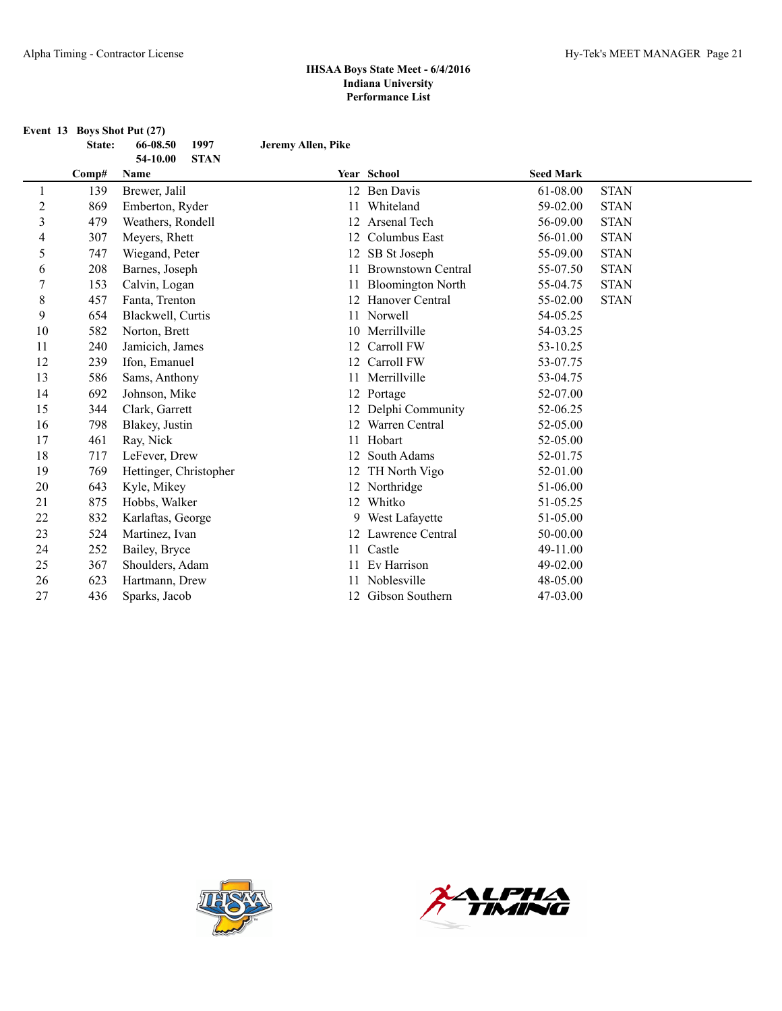|                         |        | Event 13 Boys Shot Put (27)     |                    |                           |                  |             |
|-------------------------|--------|---------------------------------|--------------------|---------------------------|------------------|-------------|
|                         | State: | 1997<br>66-08.50                | Jeremy Allen, Pike |                           |                  |             |
|                         | Comp#  | 54-10.00<br><b>STAN</b><br>Name |                    | Year School               | <b>Seed Mark</b> |             |
| 1                       | 139    | Brewer, Jalil                   | 12                 | Ben Davis                 | 61-08.00         | <b>STAN</b> |
| $\overline{c}$          | 869    | Emberton, Ryder                 | 11                 | Whiteland                 | 59-02.00         | <b>STAN</b> |
| $\overline{\mathbf{3}}$ | 479    | Weathers, Rondell               |                    | 12 Arsenal Tech           | 56-09.00         | <b>STAN</b> |
| 4                       | 307    | Meyers, Rhett                   | 12                 | Columbus East             | 56-01.00         | <b>STAN</b> |
| 5                       | 747    | Wiegand, Peter                  | 12                 | SB St Joseph              | 55-09.00         | <b>STAN</b> |
| 6                       | 208    | Barnes, Joseph                  | 11                 | <b>Brownstown Central</b> | 55-07.50         | <b>STAN</b> |
| 7                       | 153    | Calvin, Logan                   |                    | <b>Bloomington North</b>  | 55-04.75         | <b>STAN</b> |
| 8                       | 457    | Fanta, Trenton                  | 12                 | Hanover Central           | 55-02.00         | <b>STAN</b> |
| 9                       | 654    | Blackwell, Curtis               | 11                 | Norwell                   | 54-05.25         |             |
| 10                      | 582    | Norton, Brett                   |                    | 10 Merrillville           | 54-03.25         |             |
| 11                      | 240    | Jamicich, James                 | 12                 | Carroll FW                | 53-10.25         |             |
| 12                      | 239    | Ifon, Emanuel                   | 12                 | Carroll FW                | 53-07.75         |             |
| 13                      | 586    | Sams, Anthony                   | 11                 | Merrillville              | 53-04.75         |             |
| 14                      | 692    | Johnson, Mike                   |                    | 12 Portage                | 52-07.00         |             |
| 15                      | 344    | Clark, Garrett                  | 12                 | Delphi Community          | 52-06.25         |             |
| 16                      | 798    | Blakey, Justin                  |                    | 12 Warren Central         | 52-05.00         |             |
| 17                      | 461    | Ray, Nick                       |                    | 11 Hobart                 | 52-05.00         |             |
| 18                      | 717    | LeFever, Drew                   | 12                 | South Adams               | 52-01.75         |             |
| 19                      | 769    | Hettinger, Christopher          |                    | 12 TH North Vigo          | 52-01.00         |             |
| 20                      | 643    | Kyle, Mikey                     |                    | 12 Northridge             | 51-06.00         |             |
| 21                      | 875    | Hobbs, Walker                   | 12                 | Whitko                    | 51-05.25         |             |
| 22                      | 832    | Karlaftas, George               |                    | 9 West Lafayette          | 51-05.00         |             |
| 23                      | 524    | Martinez, Ivan                  |                    | 12 Lawrence Central       | 50-00.00         |             |
| 24                      | 252    | Bailey, Bryce                   | 11                 | Castle                    | 49-11.00         |             |
| 25                      | 367    | Shoulders, Adam                 | 11                 | Ev Harrison               | 49-02.00         |             |
| 26                      | 623    | Hartmann, Drew                  |                    | Noblesville               | 48-05.00         |             |
| 27                      | 436    | Sparks, Jacob                   | 12                 | Gibson Southern           | 47-03.00         |             |